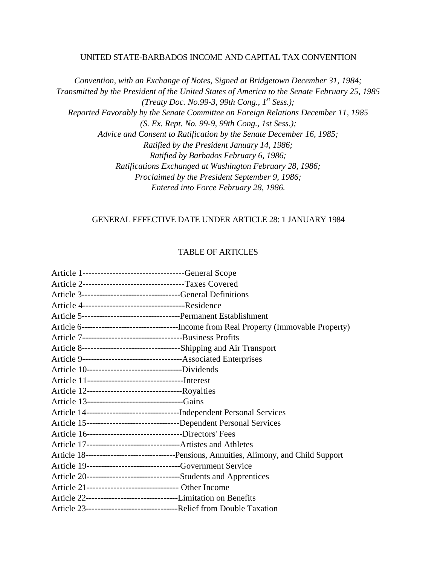#### UNITED STATE-BARBADOS INCOME AND CAPITAL TAX CONVENTION

*Convention, with an Exchange of Notes, Signed at Bridgetown December 31, 1984; Transmitted by the President of the United States of America to the Senate February 25, 1985 (Treaty Doc. No.99-3, 99th Cong., 1st Sess.); Reported Favorably by the Senate Committee on Foreign Relations December 11, 1985 (S. Ex. Rept. No. 99-9, 99th Cong., 1st Sess.); Advice and Consent to Ratification by the Senate December 16, 1985; Ratified by the President January 14, 1986; Ratified by Barbados February 6, 1986; Ratifications Exchanged at Washington February 28, 1986; Proclaimed by the President September 9, 1986; Entered into Force February 28, 1986.*

### GENERAL EFFECTIVE DATE UNDER ARTICLE 28: 1 JANUARY 1984

### TABLE OF ARTICLES

| Article 1---------------------------------General Scope             |                                                                                             |
|---------------------------------------------------------------------|---------------------------------------------------------------------------------------------|
| Article 2----------------------------------Taxes Covered            |                                                                                             |
| Article 3----------------------------------General Definitions      |                                                                                             |
|                                                                     |                                                                                             |
|                                                                     |                                                                                             |
|                                                                     |                                                                                             |
|                                                                     |                                                                                             |
|                                                                     |                                                                                             |
|                                                                     |                                                                                             |
| Article 10----------------------------------Dividends               |                                                                                             |
|                                                                     |                                                                                             |
|                                                                     |                                                                                             |
| Article 13--------------------------------Gains                     |                                                                                             |
|                                                                     |                                                                                             |
|                                                                     |                                                                                             |
| Article 16---------------------------------Directors' Fees          |                                                                                             |
|                                                                     |                                                                                             |
|                                                                     | Article 18----------------------------------Pensions, Annuities, Alimony, and Child Support |
| Article 19--------------------------------Government Service        |                                                                                             |
| Article 20---------------------------------Students and Apprentices |                                                                                             |
| Article 21-------------------------------- Other Income             |                                                                                             |
|                                                                     |                                                                                             |
|                                                                     |                                                                                             |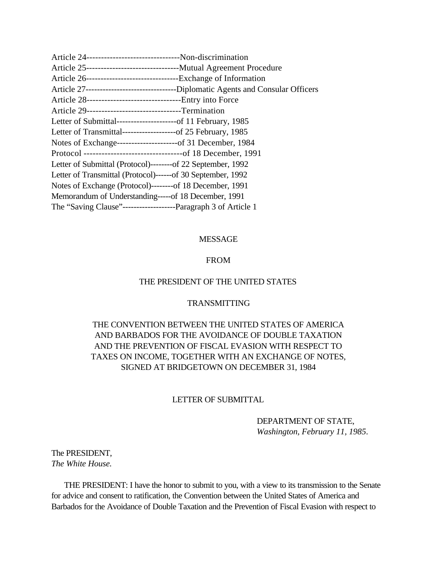<span id="page-1-0"></span>

| Article 24---------------------------------Non-discrimination     |
|-------------------------------------------------------------------|
|                                                                   |
|                                                                   |
|                                                                   |
| Article 28---------------------------------Entry into Force       |
| Article 29---------------------------------Termination            |
| Letter of Submittal----------------------of 11 February, 1985     |
| Letter of Transmittal--------------------of 25 February, 1985     |
|                                                                   |
|                                                                   |
| Letter of Submittal (Protocol)---------of 22 September, 1992      |
| Letter of Transmittal (Protocol)------of 30 September, 1992       |
| Notes of Exchange (Protocol)--------of 18 December, 1991          |
| Memorandum of Understanding-----of 18 December, 1991              |
| The "Saving Clause"----------------------Paragraph 3 of Article 1 |

### MESSAGE

#### FROM

### THE PRESIDENT OF THE UNITED STATES

### TRANSMITTING

# THE CONVENTION BETWEEN THE UNITED STATES OF AMERICA AND BARBADOS FOR THE AVOIDANCE OF DOUBLE TAXATION AND THE PREVENTION OF FISCAL EVASION WITH RESPECT TO TAXES ON INCOME, TOGETHER WITH AN EXCHANGE OF NOTES, SIGNED AT BRIDGETOWN ON DECEMBER 31, 1984

#### LETTER OF SUBMITTAL

DEPARTMENT OF STATE, *Washington, February 11, 1985*.

The PRESIDENT, *The White House.*

 THE PRESIDENT: I have the honor to submit to you, with a view to its transmission to the Senate for advice and consent to ratification, the Convention between the United States of America and Barbados for the Avoidance of Double Taxation and the Prevention of Fiscal Evasion with respect to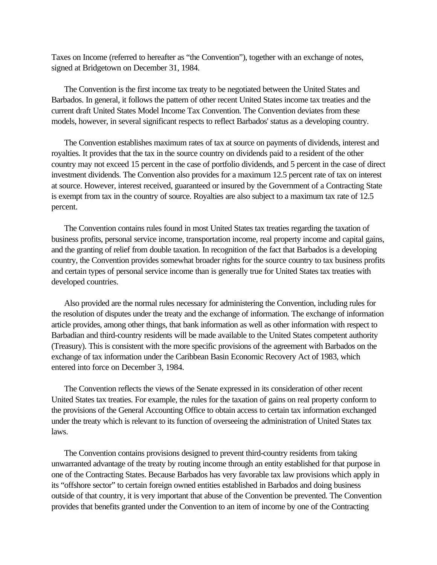Taxes on Income (referred to hereafter as "the Convention"), together with an exchange of notes, signed at Bridgetown on December 31, 1984.

 The Convention is the first income tax treaty to be negotiated between the United States and Barbados. In general, it follows the pattern of other recent United States income tax treaties and the current draft United States Model Income Tax Convention. The Convention deviates from these models, however, in several significant respects to reflect Barbados' status as a developing country.

 The Convention establishes maximum rates of tax at source on payments of dividends, interest and royalties. It provides that the tax in the source country on dividends paid to a resident of the other country may not exceed 15 percent in the case of portfolio dividends, and 5 percent in the case of direct investment dividends. The Convention also provides for a maximum 12.5 percent rate of tax on interest at source. However, interest received, guaranteed or insured by the Government of a Contracting State is exempt from tax in the country of source. Royalties are also subject to a maximum tax rate of 12.5 percent.

 The Convention contains rules found in most United States tax treaties regarding the taxation of business profits, personal service income, transportation income, real property income and capital gains, and the granting of relief from double taxation. In recognition of the fact that Barbados is a developing country, the Convention provides somewhat broader rights for the source country to tax business profits and certain types of personal service income than is generally true for United States tax treaties with developed countries.

 Also provided are the normal rules necessary for administering the Convention, including rules for the resolution of disputes under the treaty and the exchange of information. The exchange of information article provides, among other things, that bank information as well as other information with respect to Barbadian and third-country residents will be made available to the United States competent authority (Treasury). This is consistent with the more specific provisions of the agreement with Barbados on the exchange of tax information under the Caribbean Basin Economic Recovery Act of 1983, which entered into force on December 3, 1984.

 The Convention reflects the views of the Senate expressed in its consideration of other recent United States tax treaties. For example, the rules for the taxation of gains on real property conform to the provisions of the General Accounting Office to obtain access to certain tax information exchanged under the treaty which is relevant to its function of overseeing the administration of United States tax laws.

 The Convention contains provisions designed to prevent third-country residents from taking unwarranted advantage of the treaty by routing income through an entity established for that purpose in one of the Contracting States. Because Barbados has very favorable tax law provisions which apply in its "offshore sector" to certain foreign owned entities established in Barbados and doing business outside of that country, it is very important that abuse of the Convention be prevented. The Convention provides that benefits granted under the Convention to an item of income by one of the Contracting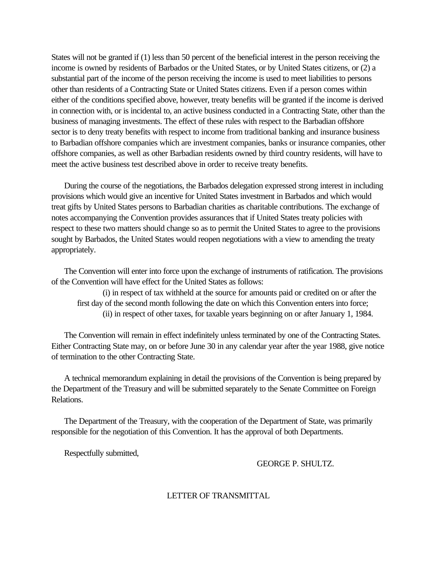States will not be granted if (1) less than 50 percent of the beneficial interest in the person receiving the income is owned by residents of Barbados or the United States, or by United States citizens, or (2) a substantial part of the income of the person receiving the income is used to meet liabilities to persons other than residents of a Contracting State or United States citizens. Even if a person comes within either of the conditions specified above, however, treaty benefits will be granted if the income is derived in connection with, or is incidental to, an active business conducted in a Contracting State, other than the business of managing investments. The effect of these rules with respect to the Barbadian offshore sector is to deny treaty benefits with respect to income from traditional banking and insurance business to Barbadian offshore companies which are investment companies, banks or insurance companies, other offshore companies, as well as other Barbadian residents owned by third country residents, will have to meet the active business test described above in order to receive treaty benefits.

<span id="page-3-0"></span> During the course of the negotiations, the Barbados delegation expressed strong interest in including provisions which would give an incentive for United States investment in Barbados and which would treat gifts by United States persons to Barbadian charities as charitable contributions. The exchange of notes accompanying the Convention provides assurances that if United States treaty policies with respect to these two matters should change so as to permit the United States to agree to the provisions sought by Barbados, the United States would reopen negotiations with a view to amending the treaty appropriately.

 The Convention will enter into force upon the exchange of instruments of ratification. The provisions of the Convention will have effect for the United States as follows:

(i) in respect of tax withheld at the source for amounts paid or credited on or after the first day of the second month following the date on which this Convention enters into force; (ii) in respect of other taxes, for taxable years beginning on or after January 1, 1984.

 The Convention will remain in effect indefinitely unless terminated by one of the Contracting States. Either Contracting State may, on or before June 30 in any calendar year after the year 1988, give notice of termination to the other Contracting State.

 A technical memorandum explaining in detail the provisions of the Convention is being prepared by the Department of the Treasury and will be submitted separately to the Senate Committee on Foreign Relations.

 The Department of the Treasury, with the cooperation of the Department of State, was primarily responsible for the negotiation of this Convention. It has the approval of both Departments.

Respectfully submitted,

#### GEORGE P. SHULTZ.

### LETTER OF TRANSMITTAL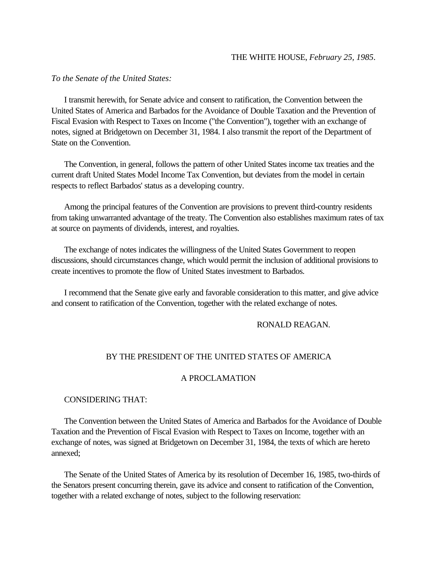#### THE WHITE HOUSE, *February 25, 1985*.

#### *To the Senate of the United States:*

 I transmit herewith, for Senate advice and consent to ratification, the Convention between the United States of America and Barbados for the Avoidance of Double Taxation and the Prevention of Fiscal Evasion with Respect to Taxes on Income ("the Convention"), together with an exchange of notes, signed at Bridgetown on December 31, 1984. I also transmit the report of the Department of State on the Convention.

 The Convention, in general, follows the pattern of other United States income tax treaties and the current draft United States Model Income Tax Convention, but deviates from the model in certain respects to reflect Barbados' status as a developing country.

 Among the principal features of the Convention are provisions to prevent third-country residents from taking unwarranted advantage of the treaty. The Convention also establishes maximum rates of tax at source on payments of dividends, interest, and royalties.

 The exchange of notes indicates the willingness of the United States Government to reopen discussions, should circumstances change, which would permit the inclusion of additional provisions to create incentives to promote the flow of United States investment to Barbados.

 I recommend that the Senate give early and favorable consideration to this matter, and give advice and consent to ratification of the Convention, together with the related exchange of notes.

#### RONALD REAGAN.

#### BY THE PRESIDENT OF THE UNITED STATES OF AMERICA

### A PROCLAMATION

#### CONSIDERING THAT:

 The Convention between the United States of America and Barbados for the Avoidance of Double Taxation and the Prevention of Fiscal Evasion with Respect to Taxes on Income, together with an exchange of notes, was signed at Bridgetown on December 31, 1984, the texts of which are hereto annexed;

 The Senate of the United States of America by its resolution of December 16, 1985, two-thirds of the Senators present concurring therein, gave its advice and consent to ratification of the Convention, together with a related exchange of notes, subject to the following reservation: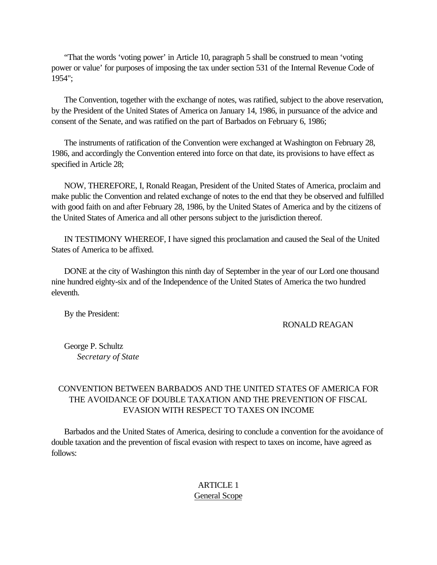"That the words 'voting power' in Article 10, paragraph 5 shall be construed to mean 'voting power or value' for purposes of imposing the tax under section 531 of the Internal Revenue Code of 1954";

 The Convention, together with the exchange of notes, was ratified, subject to the above reservation, by the President of the United States of America on January 14, 1986, in pursuance of the advice and consent of the Senate, and was ratified on the part of Barbados on February 6, 1986;

 The instruments of ratification of the Convention were exchanged at Washington on February 28, 1986, and accordingly the Convention entered into force on that date, its provisions to have effect as specified in Article 28;

<span id="page-5-1"></span><span id="page-5-0"></span> NOW, THEREFORE, I, Ronald Reagan, President of the United States of America, proclaim and make public the Convention and related exchange of notes to the end that they be observed and fulfilled with good faith on and after February 28, 1986, by the United States of America and by the citizens of the United States of America and all other persons subject to the jurisdiction thereof.

 IN TESTIMONY WHEREOF, I have signed this proclamation and caused the Seal of the United States of America to be affixed.

 DONE at the city of Washington this ninth day of September in the year of our Lord one thousand nine hundred eighty-six and of the Independence of the United States of America the two hundred eleventh.

By the President:

RONALD REAGAN

 George P. Schultz *Secretary of State*

# CONVENTION BETWEEN BARBADOS AND THE UNITED STATES OF AMERICA FOR THE AVOIDANCE OF DOUBLE TAXATION AND THE PREVENTION OF FISCAL EVASION WITH RESPECT TO TAXES ON INCOME

 Barbados and the United States of America, desiring to conclude a convention for the avoidance of double taxation and the prevention of fiscal evasion with respect to taxes on income, have agreed as follows:

### ARTICLE 1 General Scope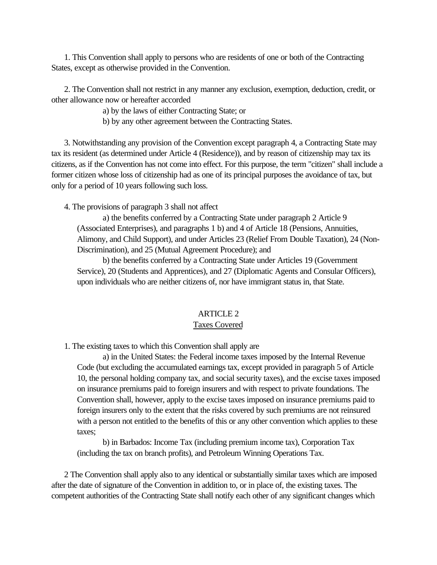<span id="page-6-0"></span> 1. This Convention shall apply to persons who are residents of one or both of the Contracting States, except as otherwise provided in the Convention.

 2. The Convention shall not restrict in any manner any exclusion, exemption, deduction, credit, or other allowance now or hereafter accorded

a) by the laws of either Contracting State; or

b) by any other agreement between the Contracting States.

 3. Notwithstanding any provision of the Convention except paragraph 4, a Contracting State may tax its resident (as determined under Article 4 (Residence)), and by reason of citizenship may tax its citizens, as if the Convention has not come into effect. For this purpose, the term "citizen" shall include a former citizen whose loss of citizenship had as one of its principal purposes the avoidance of tax, but only for a period of 10 years following such loss.

4. The provisions of paragraph 3 shall not affect

a) the benefits conferred by a Contracting State under paragraph 2 Article 9 (Associated Enterprises), and paragraphs 1 b) and 4 of Article 18 (Pensions, Annuities, Alimony, and Child Support), and under Articles 23 (Relief From Double Taxation), 24 (Non-Discrimination), and 25 (Mutual Agreement Procedure); and

b) the benefits conferred by a Contracting State under Articles 19 (Government Service), 20 (Students and Apprentices), and 27 (Diplomatic Agents and Consular Officers), upon individuals who are neither citizens of, nor have immigrant status in, that State.

### ARTICLE 2

#### Taxes Covered

1. The existing taxes to which this Convention shall apply are

a) in the United States: the Federal income taxes imposed by the Internal Revenue Code (but excluding the accumulated earnings tax, except provided in paragraph 5 of Article 10, the personal holding company tax, and social security taxes), and the excise taxes imposed on insurance premiums paid to foreign insurers and with respect to private foundations. The Convention shall, however, apply to the excise taxes imposed on insurance premiums paid to foreign insurers only to the extent that the risks covered by such premiums are not reinsured with a person not entitled to the benefits of this or any other convention which applies to these taxes;

b) in Barbados: Income Tax (including premium income tax), Corporation Tax (including the tax on branch profits), and Petroleum Winning Operations Tax.

 2 The Convention shall apply also to any identical or substantially similar taxes which are imposed after the date of signature of the Convention in addition to, or in place of, the existing taxes. The competent authorities of the Contracting State shall notify each other of any significant changes which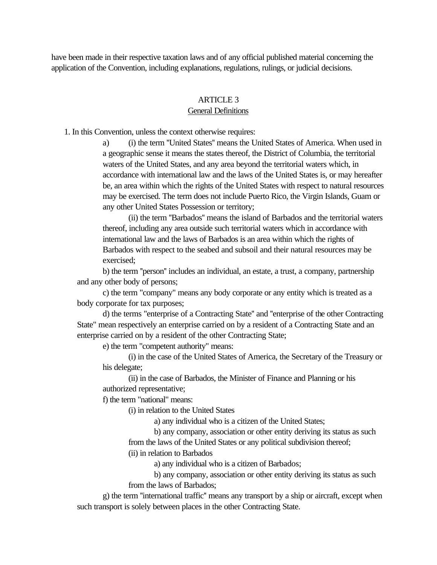<span id="page-7-0"></span>have been made in their respective taxation laws and of any official published material concerning the application of the Convention, including explanations, regulations, rulings, or judicial decisions.

### ARTICLE<sub>3</sub>

### General Definitions

1. In this Convention, unless the context otherwise requires:

a) (i) the term ''United States'' means the United States of America. When used in a geographic sense it means the states thereof, the District of Columbia, the territorial waters of the United States, and any area beyond the territorial waters which, in accordance with international law and the laws of the United States is, or may hereafter be, an area within which the rights of the United States with respect to natural resources may be exercised. The term does not include Puerto Rico, the Virgin Islands, Guam or any other United States Possession or territory;

(ii) the term ''Barbados'' means the island of Barbados and the territorial waters thereof, including any area outside such territorial waters which in accordance with international law and the laws of Barbados is an area within which the rights of Barbados with respect to the seabed and subsoil and their natural resources may be exercised;

b) the term ''person'' includes an individual, an estate, a trust, a company, partnership and any other body of persons;

c) the term "company" means any body corporate or any entity which is treated as a body corporate for tax purposes;

d) the terms "enterprise of a Contracting State'' and ''enterprise of the other Contracting State" mean respectively an enterprise carried on by a resident of a Contracting State and an enterprise carried on by a resident of the other Contracting State;

e) the term "competent authority" means:

(i) in the case of the United States of America, the Secretary of the Treasury or his delegate;

(ii) in the case of Barbados, the Minister of Finance and Planning or his authorized representative;

f) the term "national" means:

(i) in relation to the United States

a) any individual who is a citizen of the United States;

b) any company, association or other entity deriving its status as such

from the laws of the United States or any political subdivision thereof;

(ii) in relation to Barbados

a) any individual who is a citizen of Barbados;

b) any company, association or other entity deriving its status as such from the laws of Barbados;

g) the term ''international traffic'' means any transport by a ship or aircraft, except when such transport is solely between places in the other Contracting State.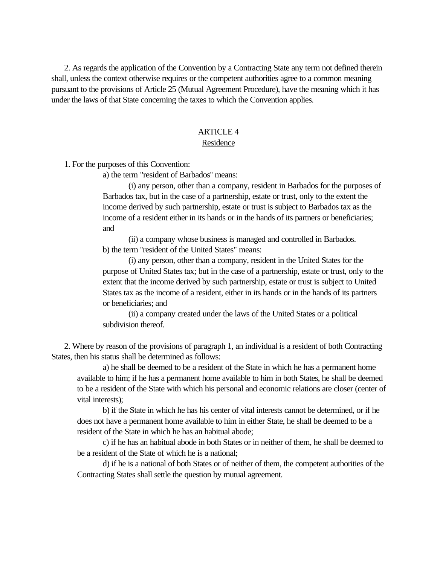<span id="page-8-0"></span> 2. As regards the application of the Convention by a Contracting State any term not defined therein shall, unless the context otherwise requires or the competent authorities agree to a common meaning pursuant to the provisions of Article 25 (Mutual Agreement Procedure), have the meaning which it has under the laws of that State concerning the taxes to which the Convention applies.

#### ARTICLE 4

#### Residence

1. For the purposes of this Convention:

a) the term "resident of Barbados'' means:

(i) any person, other than a company, resident in Barbados for the purposes of Barbados tax, but in the case of a partnership, estate or trust, only to the extent the income derived by such partnership, estate or trust is subject to Barbados tax as the income of a resident either in its hands or in the hands of its partners or beneficiaries; and

(ii) a company whose business is managed and controlled in Barbados. b) the term ''resident of the United States" means:

(i) any person, other than a company, resident in the United States for the purpose of United States tax; but in the case of a partnership, estate or trust, only to the extent that the income derived by such partnership, estate or trust is subject to United States tax as the income of a resident, either in its hands or in the hands of its partners or beneficiaries; and

(ii) a company created under the laws of the United States or a political subdivision thereof.

 2. Where by reason of the provisions of paragraph 1, an individual is a resident of both Contracting States, then his status shall be determined as follows:

a) he shall be deemed to be a resident of the State in which he has a permanent home available to him; if he has a permanent home available to him in both States, he shall be deemed to be a resident of the State with which his personal and economic relations are closer (center of vital interests);

b) if the State in which he has his center of vital interests cannot be determined, or if he does not have a permanent home available to him in either State, he shall be deemed to be a resident of the State in which he has an habitual abode;

c) if he has an habitual abode in both States or in neither of them, he shall be deemed to be a resident of the State of which he is a national;

d) if he is a national of both States or of neither of them, the competent authorities of the Contracting States shall settle the question by mutual agreement.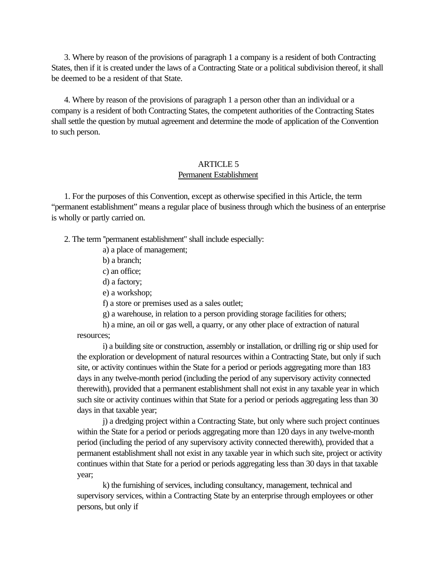3. Where by reason of the provisions of paragraph 1 a company is a resident of both Contracting States, then if it is created under the laws of a Contracting State or a political subdivision thereof, it shall be deemed to be a resident of that State.

<span id="page-9-0"></span> 4. Where by reason of the provisions of paragraph 1 a person other than an individual or a company is a resident of both Contracting States, the competent authorities of the Contracting States shall settle the question by mutual agreement and determine the mode of application of the Convention to such person.

### ARTICLE 5 Permanent Establishment

 1. For the purposes of this Convention, except as otherwise specified in this Article, the term "permanent establishment" means a regular place of business through which the business of an enterprise is wholly or partly carried on.

2. The term ''permanent establishment" shall include especially:

a) a place of management;

b) a branch;

c) an office;

d) a factory;

e) a workshop;

f) a store or premises used as a sales outlet;

g) a warehouse, in relation to a person providing storage facilities for others;

h) a mine, an oil or gas well, a quarry, or any other place of extraction of natural resources;

i) a building site or construction, assembly or installation, or drilling rig or ship used for the exploration or development of natural resources within a Contracting State, but only if such site, or activity continues within the State for a period or periods aggregating more than 183 days in any twelve-month period (including the period of any supervisory activity connected therewith), provided that a permanent establishment shall not exist in any taxable year in which such site or activity continues within that State for a period or periods aggregating less than 30 days in that taxable year;

j) a dredging project within a Contracting State, but only where such project continues within the State for a period or periods aggregating more than 120 days in any twelve-month period (including the period of any supervisory activity connected therewith), provided that a permanent establishment shall not exist in any taxable year in which such site, project or activity continues within that State for a period or periods aggregating less than 30 days in that taxable year;

k) the furnishing of services, including consultancy, management, technical and supervisory services, within a Contracting State by an enterprise through employees or other persons, but only if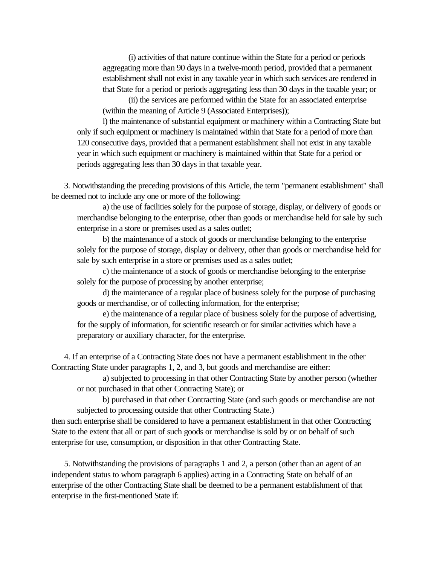(i) activities of that nature continue within the State for a period or periods aggregating more than 90 days in a twelve-month period, provided that a permanent establishment shall not exist in any taxable year in which such services are rendered in that State for a period or periods aggregating less than 30 days in the taxable year; or

(ii) the services are performed within the State for an associated enterprise (within the meaning of Article 9 (Associated Enterprises));

l) the maintenance of substantial equipment or machinery within a Contracting State but only if such equipment or machinery is maintained within that State for a period of more than 120 consecutive days, provided that a permanent establishment shall not exist in any taxable year in which such equipment or machinery is maintained within that State for a period or periods aggregating less than 30 days in that taxable year.

 3. Notwithstanding the preceding provisions of this Article, the term "permanent establishment" shall be deemed not to include any one or more of the following:

a) the use of facilities solely for the purpose of storage, display, or delivery of goods or merchandise belonging to the enterprise, other than goods or merchandise held for sale by such enterprise in a store or premises used as a sales outlet;

b) the maintenance of a stock of goods or merchandise belonging to the enterprise solely for the purpose of storage, display or delivery, other than goods or merchandise held for sale by such enterprise in a store or premises used as a sales outlet;

c) the maintenance of a stock of goods or merchandise belonging to the enterprise solely for the purpose of processing by another enterprise;

d) the maintenance of a regular place of business solely for the purpose of purchasing goods or merchandise, or of collecting information, for the enterprise;

e) the maintenance of a regular place of business solely for the purpose of advertising, for the supply of information, for scientific research or for similar activities which have a preparatory or auxiliary character, for the enterprise.

 4. If an enterprise of a Contracting State does not have a permanent establishment in the other Contracting State under paragraphs 1, 2, and 3, but goods and merchandise are either:

a) subjected to processing in that other Contracting State by another person (whether or not purchased in that other Contracting State); or

b) purchased in that other Contracting State (and such goods or merchandise are not subjected to processing outside that other Contracting State.)

then such enterprise shall be considered to have a permanent establishment in that other Contracting State to the extent that all or part of such goods or merchandise is sold by or on behalf of such enterprise for use, consumption, or disposition in that other Contracting State.

 5. Notwithstanding the provisions of paragraphs 1 and 2, a person (other than an agent of an independent status to whom paragraph 6 applies) acting in a Contracting State on behalf of an enterprise of the other Contracting State shall be deemed to be a permanent establishment of that enterprise in the first-mentioned State if: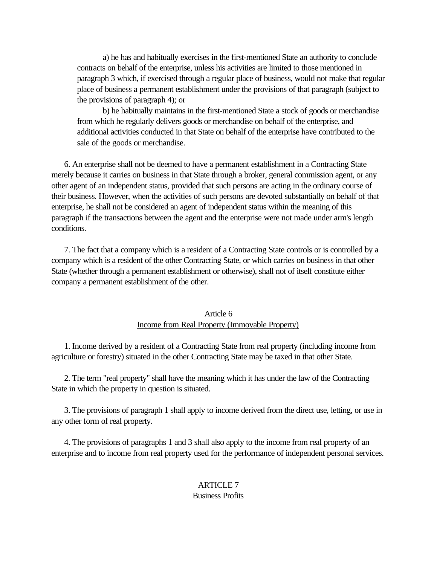<span id="page-11-0"></span>a) he has and habitually exercises in the first-mentioned State an authority to conclude contracts on behalf of the enterprise, unless his activities are limited to those mentioned in paragraph 3 which, if exercised through a regular place of business, would not make that regular place of business a permanent establishment under the provisions of that paragraph (subject to the provisions of paragraph 4); or

b) he habitually maintains in the first-mentioned State a stock of goods or merchandise from which he regularly delivers goods or merchandise on behalf of the enterprise, and additional activities conducted in that State on behalf of the enterprise have contributed to the sale of the goods or merchandise.

<span id="page-11-1"></span> 6. An enterprise shall not be deemed to have a permanent establishment in a Contracting State merely because it carries on business in that State through a broker, general commission agent, or any other agent of an independent status, provided that such persons are acting in the ordinary course of their business. However, when the activities of such persons are devoted substantially on behalf of that enterprise, he shall not be considered an agent of independent status within the meaning of this paragraph if the transactions between the agent and the enterprise were not made under arm's length conditions.

 7. The fact that a company which is a resident of a Contracting State controls or is controlled by a company which is a resident of the other Contracting State, or which carries on business in that other State (whether through a permanent establishment or otherwise), shall not of itself constitute either company a permanent establishment of the other.

## Article 6 Income from Real Property (Immovable Property)

 1. Income derived by a resident of a Contracting State from real property (including income from agriculture or forestry) situated in the other Contracting State may be taxed in that other State.

 2. The term "real property" shall have the meaning which it has under the law of the Contracting State in which the property in question is situated.

 3. The provisions of paragraph 1 shall apply to income derived from the direct use, letting, or use in any other form of real property.

 4. The provisions of paragraphs 1 and 3 shall also apply to the income from real property of an enterprise and to income from real property used for the performance of independent personal services.

# ARTICLE 7

#### Business Profits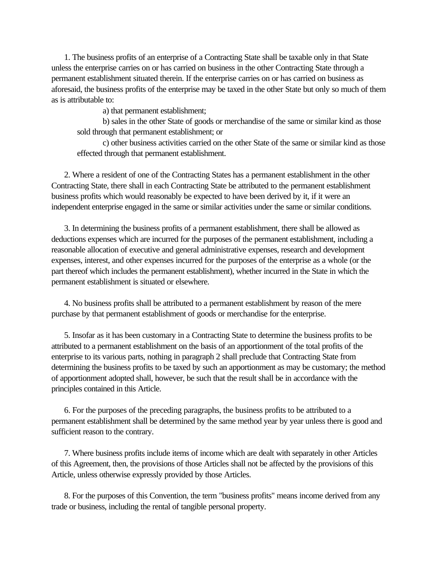1. The business profits of an enterprise of a Contracting State shall be taxable only in that State unless the enterprise carries on or has carried on business in the other Contracting State through a permanent establishment situated therein. If the enterprise carries on or has carried on business as aforesaid, the business profits of the enterprise may be taxed in the other State but only so much of them as is attributable to:

a) that permanent establishment;

b) sales in the other State of goods or merchandise of the same or similar kind as those sold through that permanent establishment; or

c) other business activities carried on the other State of the same or similar kind as those effected through that permanent establishment.

 2. Where a resident of one of the Contracting States has a permanent establishment in the other Contracting State, there shall in each Contracting State be attributed to the permanent establishment business profits which would reasonably be expected to have been derived by it, if it were an independent enterprise engaged in the same or similar activities under the same or similar conditions.

 3. In determining the business profits of a permanent establishment, there shall be allowed as deductions expenses which are incurred for the purposes of the permanent establishment, including a reasonable allocation of executive and general administrative expenses, research and development expenses, interest, and other expenses incurred for the purposes of the enterprise as a whole (or the part thereof which includes the permanent establishment), whether incurred in the State in which the permanent establishment is situated or elsewhere.

 4. No business profits shall be attributed to a permanent establishment by reason of the mere purchase by that permanent establishment of goods or merchandise for the enterprise.

 5. Insofar as it has been customary in a Contracting State to determine the business profits to be attributed to a permanent establishment on the basis of an apportionment of the total profits of the enterprise to its various parts, nothing in paragraph 2 shall preclude that Contracting State from determining the business profits to be taxed by such an apportionment as may be customary; the method of apportionment adopted shall, however, be such that the result shall be in accordance with the principles contained in this Article.

 6. For the purposes of the preceding paragraphs, the business profits to be attributed to a permanent establishment shall be determined by the same method year by year unless there is good and sufficient reason to the contrary.

 7. Where business profits include items of income which are dealt with separately in other Articles of this Agreement, then, the provisions of those Articles shall not be affected by the provisions of this Article, unless otherwise expressly provided by those Articles.

 8. For the purposes of this Convention, the term "business profits" means income derived from any trade or business, including the rental of tangible personal property.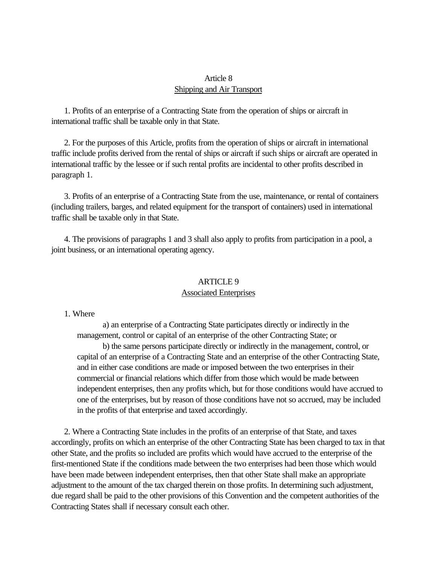# Article 8 Shipping and Air Transport

<span id="page-13-1"></span><span id="page-13-0"></span> 1. Profits of an enterprise of a Contracting State from the operation of ships or aircraft in international traffic shall be taxable only in that State.

 2. For the purposes of this Article, profits from the operation of ships or aircraft in international traffic include profits derived from the rental of ships or aircraft if such ships or aircraft are operated in international traffic by the lessee or if such rental profits are incidental to other profits described in paragraph 1.

 3. Profits of an enterprise of a Contracting State from the use, maintenance, or rental of containers (including trailers, barges, and related equipment for the transport of containers) used in international traffic shall be taxable only in that State.

 4. The provisions of paragraphs 1 and 3 shall also apply to profits from participation in a pool, a joint business, or an international operating agency.

### ARTICLE 9 Associated Enterprises

#### 1. Where

a) an enterprise of a Contracting State participates directly or indirectly in the management, control or capital of an enterprise of the other Contracting State; or

b) the same persons participate directly or indirectly in the management, control, or capital of an enterprise of a Contracting State and an enterprise of the other Contracting State, and in either case conditions are made or imposed between the two enterprises in their commercial or financial relations which differ from those which would be made between independent enterprises, then any profits which, but for those conditions would have accrued to one of the enterprises, but by reason of those conditions have not so accrued, may be included in the profits of that enterprise and taxed accordingly.

 2. Where a Contracting State includes in the profits of an enterprise of that State, and taxes accordingly, profits on which an enterprise of the other Contracting State has been charged to tax in that other State, and the profits so included are profits which would have accrued to the enterprise of the first-mentioned State if the conditions made between the two enterprises had been those which would have been made between independent enterprises, then that other State shall make an appropriate adjustment to the amount of the tax charged therein on those profits. In determining such adjustment, due regard shall be paid to the other provisions of this Convention and the competent authorities of the Contracting States shall if necessary consult each other.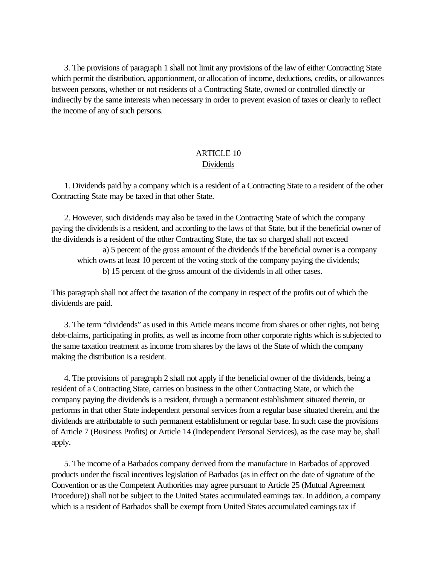<span id="page-14-0"></span> 3. The provisions of paragraph 1 shall not limit any provisions of the law of either Contracting State which permit the distribution, apportionment, or allocation of income, deductions, credits, or allowances between persons, whether or not residents of a Contracting State, owned or controlled directly or indirectly by the same interests when necessary in order to prevent evasion of taxes or clearly to reflect the income of any of such persons.

# ARTICLE 10 Dividends

 1. Dividends paid by a company which is a resident of a Contracting State to a resident of the other Contracting State may be taxed in that other State.

 2. However, such dividends may also be taxed in the Contracting State of which the company paying the dividends is a resident, and according to the laws of that State, but if the beneficial owner of the dividends is a resident of the other Contracting State, the tax so charged shall not exceed

a) 5 percent of the gross amount of the dividends if the beneficial owner is a company which owns at least 10 percent of the voting stock of the company paying the dividends; b) 15 percent of the gross amount of the dividends in all other cases.

This paragraph shall not affect the taxation of the company in respect of the profits out of which the dividends are paid.

 3. The term "dividends" as used in this Article means income from shares or other rights, not being debt-claims, participating in profits, as well as income from other corporate rights which is subjected to the same taxation treatment as income from shares by the laws of the State of which the company making the distribution is a resident.

 4. The provisions of paragraph 2 shall not apply if the beneficial owner of the dividends, being a resident of a Contracting State, carries on business in the other Contracting State, or which the company paying the dividends is a resident, through a permanent establishment situated therein, or performs in that other State independent personal services from a regular base situated therein, and the dividends are attributable to such permanent establishment or regular base. In such case the provisions of Article 7 (Business Profits) or Article 14 (Independent Personal Services), as the case may be, shall apply.

 5. The income of a Barbados company derived from the manufacture in Barbados of approved products under the fiscal incentives legislation of Barbados (as in effect on the date of signature of the Convention or as the Competent Authorities may agree pursuant to Article 25 (Mutual Agreement Procedure)) shall not be subject to the United States accumulated earnings tax. In addition, a company which is a resident of Barbados shall be exempt from United States accumulated earnings tax if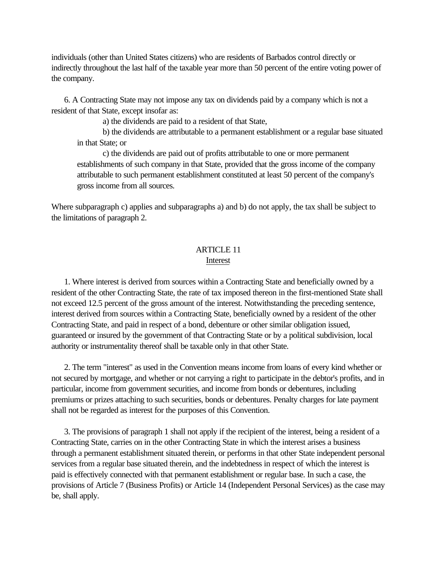<span id="page-15-0"></span>individuals (other than United States citizens) who are residents of Barbados control directly or indirectly throughout the last half of the taxable year more than 50 percent of the entire voting power of the company.

 6. A Contracting State may not impose any tax on dividends paid by a company which is not a resident of that State, except insofar as:

a) the dividends are paid to a resident of that State,

b) the dividends are attributable to a permanent establishment or a regular base situated in that State; or

c) the dividends are paid out of profits attributable to one or more permanent establishments of such company in that State, provided that the gross income of the company attributable to such permanent establishment constituted at least 50 percent of the company's gross income from all sources.

Where subparagraph c) applies and subparagraphs a) and b) do not apply, the tax shall be subject to the limitations of paragraph 2.

### ARTICLE 11 Interest

 1. Where interest is derived from sources within a Contracting State and beneficially owned by a resident of the other Contracting State, the rate of tax imposed thereon in the first-mentioned State shall not exceed 12.5 percent of the gross amount of the interest. Notwithstanding the preceding sentence, interest derived from sources within a Contracting State, beneficially owned by a resident of the other Contracting State, and paid in respect of a bond, debenture or other similar obligation issued, guaranteed or insured by the government of that Contracting State or by a political subdivision, local authority or instrumentality thereof shall be taxable only in that other State.

 2. The term "interest" as used in the Convention means income from loans of every kind whether or not secured by mortgage, and whether or not carrying a right to participate in the debtor's profits, and in particular, income from government securities, and income from bonds or debentures, including premiums or prizes attaching to such securities, bonds or debentures. Penalty charges for late payment shall not be regarded as interest for the purposes of this Convention.

 3. The provisions of paragraph 1 shall not apply if the recipient of the interest, being a resident of a Contracting State, carries on in the other Contracting State in which the interest arises a business through a permanent establishment situated therein, or performs in that other State independent personal services from a regular base situated therein, and the indebtedness in respect of which the interest is paid is effectively connected with that permanent establishment or regular base. In such a case, the provisions of Article 7 (Business Profits) or Article 14 (Independent Personal Services) as the case may be, shall apply.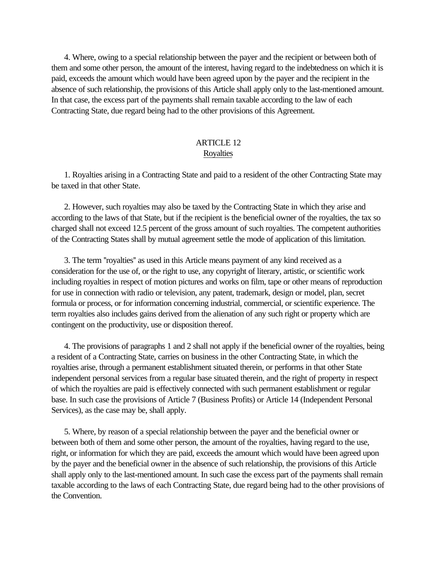<span id="page-16-0"></span> 4. Where, owing to a special relationship between the payer and the recipient or between both of them and some other person, the amount of the interest, having regard to the indebtedness on which it is paid, exceeds the amount which would have been agreed upon by the payer and the recipient in the absence of such relationship, the provisions of this Article shall apply only to the last-mentioned amount. In that case, the excess part of the payments shall remain taxable according to the law of each Contracting State, due regard being had to the other provisions of this Agreement.

# ARTICLE 12 **Royalties**

 1. Royalties arising in a Contracting State and paid to a resident of the other Contracting State may be taxed in that other State.

 2. However, such royalties may also be taxed by the Contracting State in which they arise and according to the laws of that State, but if the recipient is the beneficial owner of the royalties, the tax so charged shall not exceed 12.5 percent of the gross amount of such royalties. The competent authorities of the Contracting States shall by mutual agreement settle the mode of application of this limitation.

 3. The term ''royalties'' as used in this Article means payment of any kind received as a consideration for the use of, or the right to use, any copyright of literary, artistic, or scientific work including royalties in respect of motion pictures and works on film, tape or other means of reproduction for use in connection with radio or television, any patent, trademark, design or model, plan, secret formula or process, or for information concerning industrial, commercial, or scientific experience. The term royalties also includes gains derived from the alienation of any such right or property which are contingent on the productivity, use or disposition thereof.

 4. The provisions of paragraphs 1 and 2 shall not apply if the beneficial owner of the royalties, being a resident of a Contracting State, carries on business in the other Contracting State, in which the royalties arise, through a permanent establishment situated therein, or performs in that other State independent personal services from a regular base situated therein, and the right of property in respect of which the royalties are paid is effectively connected with such permanent establishment or regular base. In such case the provisions of Article 7 (Business Profits) or Article 14 (Independent Personal Services), as the case may be, shall apply.

 5. Where, by reason of a special relationship between the payer and the beneficial owner or between both of them and some other person, the amount of the royalties, having regard to the use, right, or information for which they are paid, exceeds the amount which would have been agreed upon by the payer and the beneficial owner in the absence of such relationship, the provisions of this Article shall apply only to the last-mentioned amount. In such case the excess part of the payments shall remain taxable according to the laws of each Contracting State, due regard being had to the other provisions of the Convention.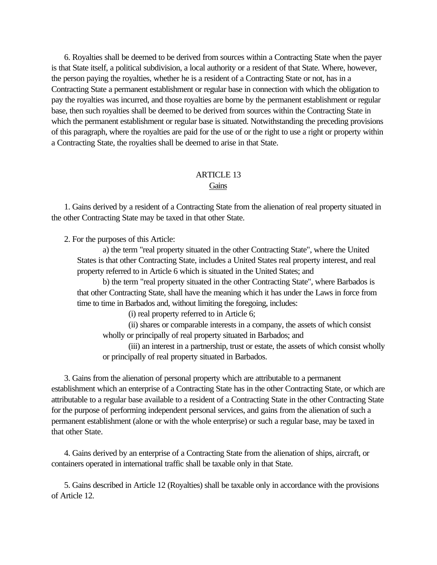<span id="page-17-0"></span> 6. Royalties shall be deemed to be derived from sources within a Contracting State when the payer is that State itself, a political subdivision, a local authority or a resident of that State. Where, however, the person paying the royalties, whether he is a resident of a Contracting State or not, has in a Contracting State a permanent establishment or regular base in connection with which the obligation to pay the royalties was incurred, and those royalties are borne by the permanent establishment or regular base, then such royalties shall be deemed to be derived from sources within the Contracting State in which the permanent establishment or regular base is situated. Notwithstanding the preceding provisions of this paragraph, where the royalties are paid for the use of or the right to use a right or property within a Contracting State, the royalties shall be deemed to arise in that State.

### ARTICLE 13 **Gains**

 1. Gains derived by a resident of a Contracting State from the alienation of real property situated in the other Contracting State may be taxed in that other State.

2. For the purposes of this Article:

a) the term "real property situated in the other Contracting State", where the United States is that other Contracting State, includes a United States real property interest, and real property referred to in Article 6 which is situated in the United States; and

b) the term "real property situated in the other Contracting State", where Barbados is that other Contracting State, shall have the meaning which it has under the Laws in force from time to time in Barbados and, without limiting the foregoing, includes:

(i) real property referred to in Article 6;

(ii) shares or comparable interests in a company, the assets of which consist wholly or principally of real property situated in Barbados; and

(iii) an interest in a partnership, trust or estate, the assets of which consist wholly or principally of real property situated in Barbados.

 3. Gains from the alienation of personal property which are attributable to a permanent establishment which an enterprise of a Contracting State has in the other Contracting State, or which are attributable to a regular base available to a resident of a Contracting State in the other Contracting State for the purpose of performing independent personal services, and gains from the alienation of such a permanent establishment (alone or with the whole enterprise) or such a regular base, may be taxed in that other State.

 4. Gains derived by an enterprise of a Contracting State from the alienation of ships, aircraft, or containers operated in international traffic shall be taxable only in that State.

 5. Gains described in Article 12 (Royalties) shall be taxable only in accordance with the provisions of Article 12.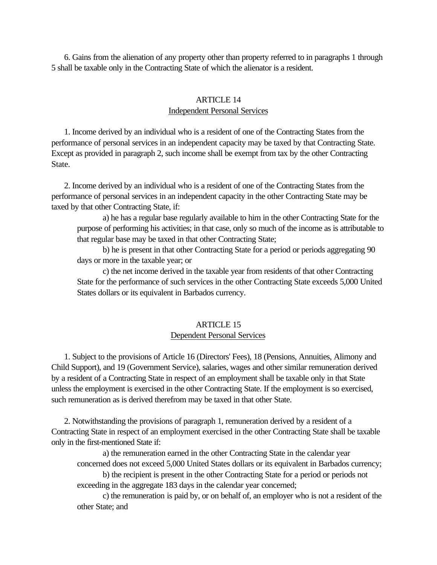<span id="page-18-0"></span> 6. Gains from the alienation of any property other than property referred to in paragraphs 1 through 5 shall be taxable only in the Contracting State of which the alienator is a resident.

### ARTICLE 14 Independent Personal Services

 1. Income derived by an individual who is a resident of one of the Contracting States from the performance of personal services in an independent capacity may be taxed by that Contracting State. Except as provided in paragraph 2, such income shall be exempt from tax by the other Contracting State.

 2. Income derived by an individual who is a resident of one of the Contracting States from the performance of personal services in an independent capacity in the other Contracting State may be taxed by that other Contracting State, if:

a) he has a regular base regularly available to him in the other Contracting State for the purpose of performing his activities; in that case, only so much of the income as is attributable to that regular base may be taxed in that other Contracting State;

b) he is present in that other Contracting State for a period or periods aggregating 90 days or more in the taxable year; or

c) the net income derived in the taxable year from residents of that other Contracting State for the performance of such services in the other Contracting State exceeds 5,000 United States dollars or its equivalent in Barbados currency.

### ARTICLE 15 Dependent Personal Services

 1. Subject to the provisions of Article 16 (Directors' Fees), 18 (Pensions, Annuities, Alimony and Child Support), and 19 (Government Service), salaries, wages and other similar remuneration derived by a resident of a Contracting State in respect of an employment shall be taxable only in that State unless the employment is exercised in the other Contracting State. If the employment is so exercised, such remuneration as is derived therefrom may be taxed in that other State.

 2. Notwithstanding the provisions of paragraph 1, remuneration derived by a resident of a Contracting State in respect of an employment exercised in the other Contracting State shall be taxable only in the first-mentioned State if:

a) the remuneration earned in the other Contracting State in the calendar year concerned does not exceed 5,000 United States dollars or its equivalent in Barbados currency;

b) the recipient is present in the other Contracting State for a period or periods not exceeding in the aggregate 183 days in the calendar year concerned;

c) the remuneration is paid by, or on behalf of, an employer who is not a resident of the other State; and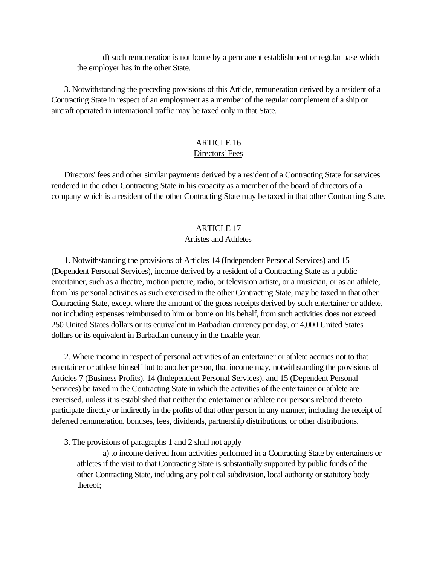d) such remuneration is not borne by a permanent establishment or regular base which the employer has in the other State.

<span id="page-19-1"></span><span id="page-19-0"></span> 3. Notwithstanding the preceding provisions of this Article, remuneration derived by a resident of a Contracting State in respect of an employment as a member of the regular complement of a ship or aircraft operated in international traffic may be taxed only in that State.

# ARTICLE 16 Directors' Fees

 Directors' fees and other similar payments derived by a resident of a Contracting State for services rendered in the other Contracting State in his capacity as a member of the board of directors of a company which is a resident of the other Contracting State may be taxed in that other Contracting State.

# ARTICLE 17

# Artistes and Athletes

 1. Notwithstanding the provisions of Articles 14 (Independent Personal Services) and 15 (Dependent Personal Services), income derived by a resident of a Contracting State as a public entertainer, such as a theatre, motion picture, radio, or television artiste, or a musician, or as an athlete, from his personal activities as such exercised in the other Contracting State, may be taxed in that other Contracting State, except where the amount of the gross receipts derived by such entertainer or athlete, not including expenses reimbursed to him or borne on his behalf, from such activities does not exceed 250 United States dollars or its equivalent in Barbadian currency per day, or 4,000 United States dollars or its equivalent in Barbadian currency in the taxable year.

 2. Where income in respect of personal activities of an entertainer or athlete accrues not to that entertainer or athlete himself but to another person, that income may, notwithstanding the provisions of Articles 7 (Business Profits), 14 (Independent Personal Services), and 15 (Dependent Personal Services) be taxed in the Contracting State in which the activities of the entertainer or athlete are exercised, unless it is established that neither the entertainer or athlete nor persons related thereto participate directly or indirectly in the profits of that other person in any manner, including the receipt of deferred remuneration, bonuses, fees, dividends, partnership distributions, or other distributions.

3. The provisions of paragraphs 1 and 2 shall not apply

a) to income derived from activities performed in a Contracting State by entertainers or athletes if the visit to that Contracting State is substantially supported by public funds of the other Contracting State, including any political subdivision, local authority or statutory body thereof;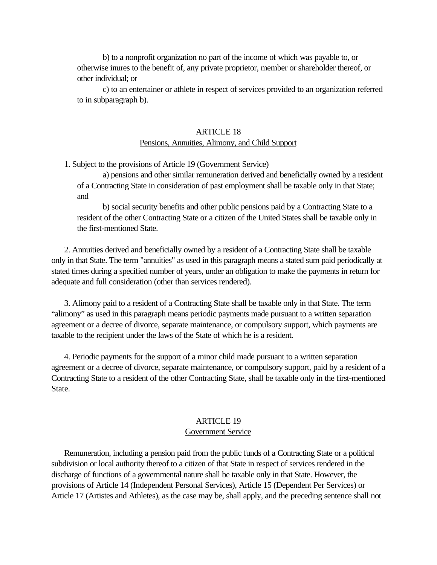<span id="page-20-0"></span>b) to a nonprofit organization no part of the income of which was payable to, or otherwise inures to the benefit of, any private proprietor, member or shareholder thereof, or other individual; or

c) to an entertainer or athlete in respect of services provided to an organization referred to in subparagraph b).

#### ARTICLE 18

### Pensions, Annuities, Alimony, and Child Support

1. Subject to the provisions of Article 19 (Government Service)

a) pensions and other similar remuneration derived and beneficially owned by a resident of a Contracting State in consideration of past employment shall be taxable only in that State; and

b) social security benefits and other public pensions paid by a Contracting State to a resident of the other Contracting State or a citizen of the United States shall be taxable only in the first-mentioned State.

<span id="page-20-1"></span> 2. Annuities derived and beneficially owned by a resident of a Contracting State shall be taxable only in that State. The term "annuities" as used in this paragraph means a stated sum paid periodically at stated times during a specified number of years, under an obligation to make the payments in return for adequate and full consideration (other than services rendered).

 3. Alimony paid to a resident of a Contracting State shall be taxable only in that State. The term "alimony" as used in this paragraph means periodic payments made pursuant to a written separation agreement or a decree of divorce, separate maintenance, or compulsory support, which payments are taxable to the recipient under the laws of the State of which he is a resident.

 4. Periodic payments for the support of a minor child made pursuant to a written separation agreement or a decree of divorce, separate maintenance, or compulsory support, paid by a resident of a Contracting State to a resident of the other Contracting State, shall be taxable only in the first-mentioned State.

### ARTICLE 19

### Government Service

 Remuneration, including a pension paid from the public funds of a Contracting State or a political subdivision or local authority thereof to a citizen of that State in respect of services rendered in the discharge of functions of a governmental nature shall be taxable only in that State. However, the provisions of Article 14 (Independent Personal Services), Article 15 (Dependent Per Services) or Article 17 (Artistes and Athletes), as the case may be, shall apply, and the preceding sentence shall not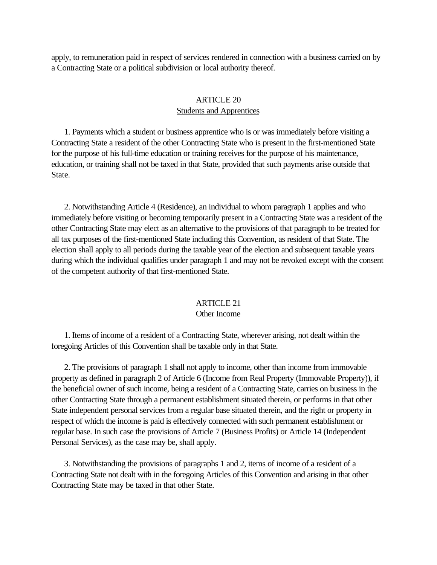<span id="page-21-1"></span><span id="page-21-0"></span>apply, to remuneration paid in respect of services rendered in connection with a business carried on by a Contracting State or a political subdivision or local authority thereof.

### ARTICLE 20 Students and Apprentices

 1. Payments which a student or business apprentice who is or was immediately before visiting a Contracting State a resident of the other Contracting State who is present in the first-mentioned State for the purpose of his full-time education or training receives for the purpose of his maintenance, education, or training shall not be taxed in that State, provided that such payments arise outside that State.

 2. Notwithstanding Article 4 (Residence), an individual to whom paragraph 1 applies and who immediately before visiting or becoming temporarily present in a Contracting State was a resident of the other Contracting State may elect as an alternative to the provisions of that paragraph to be treated for all tax purposes of the first-mentioned State including this Convention, as resident of that State. The election shall apply to all periods during the taxable year of the election and subsequent taxable years during which the individual qualifies under paragraph 1 and may not be revoked except with the consent of the competent authority of that first-mentioned State.

### ARTICLE 21

#### Other Income

 1. Items of income of a resident of a Contracting State, wherever arising, not dealt within the foregoing Articles of this Convention shall be taxable only in that State.

 2. The provisions of paragraph 1 shall not apply to income, other than income from immovable property as defined in paragraph 2 of Article 6 (Income from Real Property (Immovable Property)), if the beneficial owner of such income, being a resident of a Contracting State, carries on business in the other Contracting State through a permanent establishment situated therein, or performs in that other State independent personal services from a regular base situated therein, and the right or property in respect of which the income is paid is effectively connected with such permanent establishment or regular base. In such case the provisions of Article 7 (Business Profits) or Article 14 (Independent Personal Services), as the case may be, shall apply.

 3. Notwithstanding the provisions of paragraphs 1 and 2, items of income of a resident of a Contracting State not dealt with in the foregoing Articles of this Convention and arising in that other Contracting State may be taxed in that other State.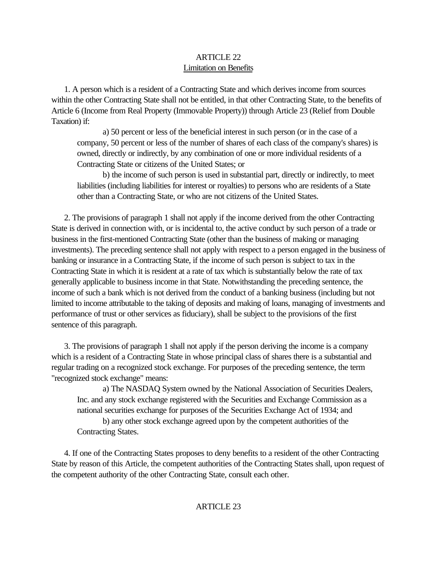# ARTICLE 22 Limitation on Benefits

<span id="page-22-0"></span> 1. A person which is a resident of a Contracting State and which derives income from sources within the other Contracting State shall not be entitled, in that other Contracting State, to the benefits of Article 6 (Income from Real Property (Immovable Property)) through Article 23 (Relief from Double Taxation) if:

a) 50 percent or less of the beneficial interest in such person (or in the case of a company, 50 percent or less of the number of shares of each class of the company's shares) is owned, directly or indirectly, by any combination of one or more individual residents of a Contracting State or citizens of the United States; or

b) the income of such person is used in substantial part, directly or indirectly, to meet liabilities (including liabilities for interest or royalties) to persons who are residents of a State other than a Contracting State, or who are not citizens of the United States.

<span id="page-22-1"></span> 2. The provisions of paragraph 1 shall not apply if the income derived from the other Contracting State is derived in connection with, or is incidental to, the active conduct by such person of a trade or business in the first-mentioned Contracting State (other than the business of making or managing investments). The preceding sentence shall not apply with respect to a person engaged in the business of banking or insurance in a Contracting State, if the income of such person is subject to tax in the Contracting State in which it is resident at a rate of tax which is substantially below the rate of tax generally applicable to business income in that State. Notwithstanding the preceding sentence, the income of such a bank which is not derived from the conduct of a banking business (including but not limited to income attributable to the taking of deposits and making of loans, managing of investments and performance of trust or other services as fiduciary), shall be subject to the provisions of the first sentence of this paragraph.

 3. The provisions of paragraph 1 shall not apply if the person deriving the income is a company which is a resident of a Contracting State in whose principal class of shares there is a substantial and regular trading on a recognized stock exchange. For purposes of the preceding sentence, the term "recognized stock exchange" means:

a) The NASDAQ System owned by the National Association of Securities Dealers, Inc. and any stock exchange registered with the Securities and Exchange Commission as a national securities exchange for purposes of the Securities Exchange Act of 1934; and

b) any other stock exchange agreed upon by the competent authorities of the Contracting States.

 4. If one of the Contracting States proposes to deny benefits to a resident of the other Contracting State by reason of this Article, the competent authorities of the Contracting States shall, upon request of the competent authority of the other Contracting State, consult each other.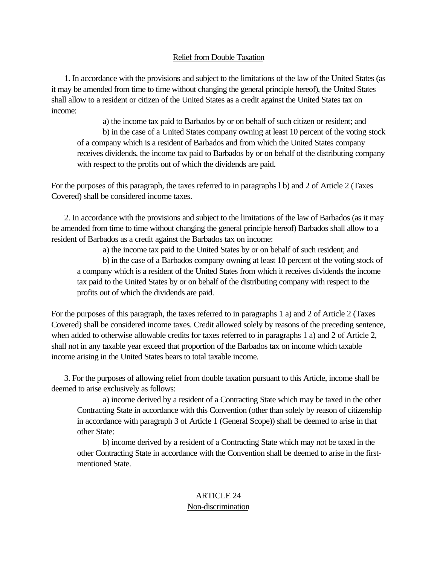## Relief from Double Taxation

 1. In accordance with the provisions and subject to the limitations of the law of the United States (as it may be amended from time to time without changing the general principle hereof), the United States shall allow to a resident or citizen of the United States as a credit against the United States tax on income:

a) the income tax paid to Barbados by or on behalf of such citizen or resident; and b) in the case of a United States company owning at least 10 percent of the voting stock of a company which is a resident of Barbados and from which the United States company receives dividends, the income tax paid to Barbados by or on behalf of the distributing company with respect to the profits out of which the dividends are paid.

For the purposes of this paragraph, the taxes referred to in paragraphs l b) and 2 of Article 2 (Taxes Covered) shall be considered income taxes.

<span id="page-23-0"></span> 2. In accordance with the provisions and subject to the limitations of the law of Barbados (as it may be amended from time to time without changing the general principle hereof) Barbados shall allow to a resident of Barbados as a credit against the Barbados tax on income:

a) the income tax paid to the United States by or on behalf of such resident; and b) in the case of a Barbados company owning at least 10 percent of the voting stock of a company which is a resident of the United States from which it receives dividends the income tax paid to the United States by or on behalf of the distributing company with respect to the profits out of which the dividends are paid.

For the purposes of this paragraph, the taxes referred to in paragraphs 1 a) and 2 of Article 2 (Taxes Covered) shall be considered income taxes. Credit allowed solely by reasons of the preceding sentence, when added to otherwise allowable credits for taxes referred to in paragraphs 1 a) and 2 of Article 2, shall not in any taxable year exceed that proportion of the Barbados tax on income which taxable income arising in the United States bears to total taxable income.

 3. For the purposes of allowing relief from double taxation pursuant to this Article, income shall be deemed to arise exclusively as follows:

a) income derived by a resident of a Contracting State which may be taxed in the other Contracting State in accordance with this Convention (other than solely by reason of citizenship in accordance with paragraph 3 of Article 1 (General Scope)) shall be deemed to arise in that other State:

b) income derived by a resident of a Contracting State which may not be taxed in the other Contracting State in accordance with the Convention shall be deemed to arise in the firstmentioned State.

# ARTICLE 24 Non-discrimination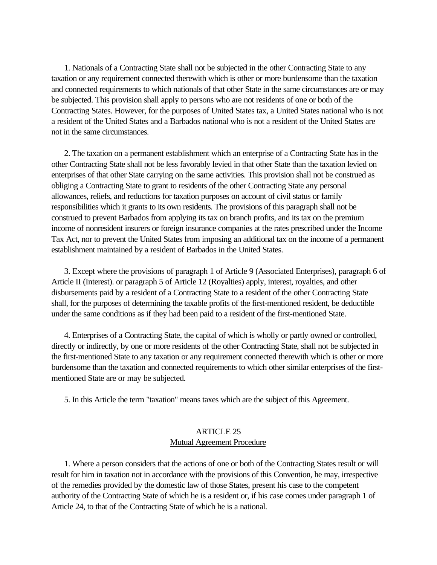1. Nationals of a Contracting State shall not be subjected in the other Contracting State to any taxation or any requirement connected therewith which is other or more burdensome than the taxation and connected requirements to which nationals of that other State in the same circumstances are or may be subjected. This provision shall apply to persons who are not residents of one or both of the Contracting States. However, for the purposes of United States tax, a United States national who is not a resident of the United States and a Barbados national who is not a resident of the United States are not in the same circumstances.

 2. The taxation on a permanent establishment which an enterprise of a Contracting State has in the other Contracting State shall not be less favorably levied in that other State than the taxation levied on enterprises of that other State carrying on the same activities. This provision shall not be construed as obliging a Contracting State to grant to residents of the other Contracting State any personal allowances, reliefs, and reductions for taxation purposes on account of civil status or family responsibilities which it grants to its own residents. The provisions of this paragraph shall not be construed to prevent Barbados from applying its tax on branch profits, and its tax on the premium income of nonresident insurers or foreign insurance companies at the rates prescribed under the Income Tax Act, nor to prevent the United States from imposing an additional tax on the income of a permanent establishment maintained by a resident of Barbados in the United States.

<span id="page-24-0"></span> 3. Except where the provisions of paragraph 1 of Article 9 (Associated Enterprises), paragraph 6 of Article II (Interest). or paragraph 5 of Article 12 (Royalties) apply, interest, royalties, and other disbursements paid by a resident of a Contracting State to a resident of the other Contracting State shall, for the purposes of determining the taxable profits of the first-mentioned resident, be deductible under the same conditions as if they had been paid to a resident of the first-mentioned State.

 4. Enterprises of a Contracting State, the capital of which is wholly or partly owned or controlled, directly or indirectly, by one or more residents of the other Contracting State, shall not be subjected in the first-mentioned State to any taxation or any requirement connected therewith which is other or more burdensome than the taxation and connected requirements to which other similar enterprises of the firstmentioned State are or may be subjected.

5. In this Article the term "taxation" means taxes which are the subject of this Agreement.

# ARTICLE 25 Mutual Agreement Procedure

 1. Where a person considers that the actions of one or both of the Contracting States result or will result for him in taxation not in accordance with the provisions of this Convention, he may, irrespective of the remedies provided by the domestic law of those States, present his case to the competent authority of the Contracting State of which he is a resident or, if his case comes under paragraph 1 of Article 24, to that of the Contracting State of which he is a national.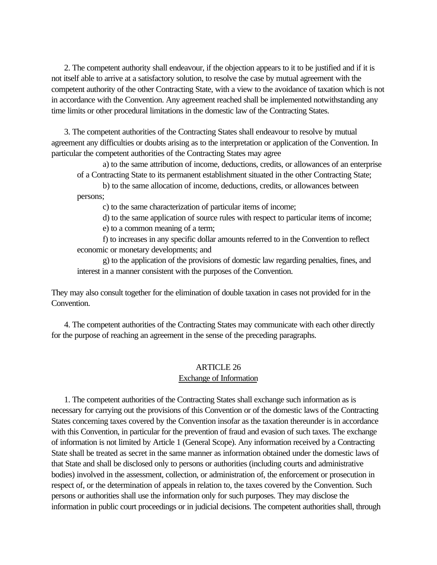2. The competent authority shall endeavour, if the objection appears to it to be justified and if it is not itself able to arrive at a satisfactory solution, to resolve the case by mutual agreement with the competent authority of the other Contracting State, with a view to the avoidance of taxation which is not in accordance with the Convention. Any agreement reached shall be implemented notwithstanding any time limits or other procedural limitations in the domestic law of the Contracting States.

<span id="page-25-0"></span> 3. The competent authorities of the Contracting States shall endeavour to resolve by mutual agreement any difficulties or doubts arising as to the interpretation or application of the Convention. In particular the competent authorities of the Contracting States may agree

a) to the same attribution of income, deductions, credits, or allowances of an enterprise of a Contracting State to its permanent establishment situated in the other Contracting State;

b) to the same allocation of income, deductions, credits, or allowances between persons;

c) to the same characterization of particular items of income;

d) to the same application of source rules with respect to particular items of income;

e) to a common meaning of a term;

f) to increases in any specific dollar amounts referred to in the Convention to reflect economic or monetary developments; and

g) to the application of the provisions of domestic law regarding penalties, fines, and interest in a manner consistent with the purposes of the Convention.

They may also consult together for the elimination of double taxation in cases not provided for in the Convention.

 4. The competent authorities of the Contracting States may communicate with each other directly for the purpose of reaching an agreement in the sense of the preceding paragraphs.

# ARTICLE 26

### Exchange of Information

 1. The competent authorities of the Contracting States shall exchange such information as is necessary for carrying out the provisions of this Convention or of the domestic laws of the Contracting States concerning taxes covered by the Convention insofar as the taxation thereunder is in accordance with this Convention, in particular for the prevention of fraud and evasion of such taxes. The exchange of information is not limited by Article 1 (General Scope). Any information received by a Contracting State shall be treated as secret in the same manner as information obtained under the domestic laws of that State and shall be disclosed only to persons or authorities (including courts and administrative bodies) involved in the assessment, collection, or administration of, the enforcement or prosecution in respect of, or the determination of appeals in relation to, the taxes covered by the Convention. Such persons or authorities shall use the information only for such purposes. They may disclose the information in public court proceedings or in judicial decisions. The competent authorities shall, through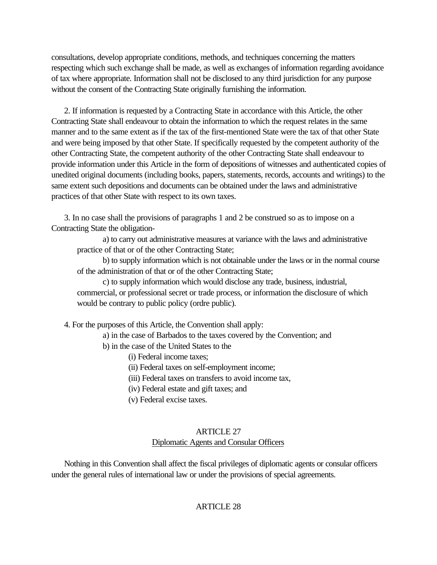consultations, develop appropriate conditions, methods, and techniques concerning the matters respecting which such exchange shall be made, as well as exchanges of information regarding avoidance of tax where appropriate. Information shall not be disclosed to any third jurisdiction for any purpose without the consent of the Contracting State originally furnishing the information.

 2. If information is requested by a Contracting State in accordance with this Article, the other Contracting State shall endeavour to obtain the information to which the request relates in the same manner and to the same extent as if the tax of the first-mentioned State were the tax of that other State and were being imposed by that other State. If specifically requested by the competent authority of the other Contracting State, the competent authority of the other Contracting State shall endeavour to provide information under this Article in the form of depositions of witnesses and authenticated copies of unedited original documents (including books, papers, statements, records, accounts and writings) to the same extent such depositions and documents can be obtained under the laws and administrative practices of that other State with respect to its own taxes.

<span id="page-26-1"></span><span id="page-26-0"></span> 3. In no case shall the provisions of paragraphs 1 and 2 be construed so as to impose on a Contracting State the obligation-

a) to carry out administrative measures at variance with the laws and administrative practice of that or of the other Contracting State;

b) to supply information which is not obtainable under the laws or in the normal course of the administration of that or of the other Contracting State;

c) to supply information which would disclose any trade, business, industrial, commercial, or professional secret or trade process, or information the disclosure of which would be contrary to public policy (ordre public).

4. For the purposes of this Article, the Convention shall apply:

a) in the case of Barbados to the taxes covered by the Convention; and

- b) in the case of the United States to the
	- (i) Federal income taxes;
	- (ii) Federal taxes on self-employment income;
	- (iii) Federal taxes on transfers to avoid income tax,
	- (iv) Federal estate and gift taxes; and
	- (v) Federal excise taxes.

### ARTICLE 27 Diplomatic Agents and Consular Officers

 Nothing in this Convention shall affect the fiscal privileges of diplomatic agents or consular officers under the general rules of international law or under the provisions of special agreements.

# ARTICLE 28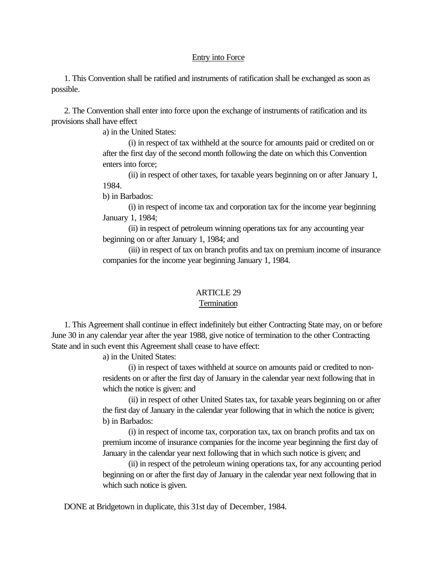### Entry into Force

<span id="page-27-0"></span> 1. This Convention shall be ratified and instruments of ratification shall be exchanged as soon as possible.

 2. The Convention shall enter into force upon the exchange of instruments of ratification and its provisions shall have effect

a) in the United States:

(i) in respect of tax withheld at the source for amounts paid or credited on or after the first day of the second month following the date on which this Convention enters into force;

(ii) in respect of other taxes, for taxable years beginning on or after January 1, 1984.

b) in Barbados:

(i) in respect of income tax and corporation tax for the income year beginning January 1, 1984;

(ii) in respect of petroleum winning operations tax for any accounting year beginning on or after January 1, 1984; and

(iii) in respect of tax on branch profits and tax on premium income of insurance companies for the income year beginning January 1, 1984.

# ARTICLE 29

### **Termination**

 1. This Agreement shall continue in effect indefinitely but either Contracting State may, on or before June 30 in any calendar year after the year 1988, give notice of termination to the other Contracting State and in such event this Agreement shall cease to have effect:

a) in the United States:

(i) in respect of taxes withheld at source on amounts paid or credited to nonresidents on or after the first day of January in the calendar year next following that in which the notice is given: and

(ii) in respect of other United States tax, for taxable years beginning on or after the first day of January in the calendar year following that in which the notice is given; b) in Barbados:

(i) in respect of income tax, corporation tax, tax on branch profits and tax on premium income of insurance companies for the income year beginning the first day of January in the calendar year next following that in which such notice is given; and

(ii) in respect of the petroleum wining operations tax, for any accounting period beginning on or after the first day of January in the calendar year next following that in which such notice is given.

DONE at Bridgetown in duplicate, this 31st day of December, 1984.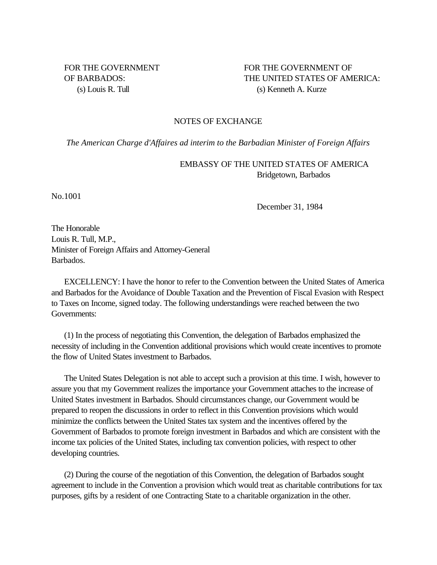<span id="page-28-0"></span>FOR THE GOVERNMENT FOR THE GOVERNMENT OF OF BARBADOS: THE UNITED STATES OF AMERICA: (s) Louis R. Tull (s) Kenneth A. Kurze

#### NOTES OF EXCHANGE

*The American Charge d'Affaires ad interim to the Barbadian Minister of Foreign Affairs*

EMBASSY OF THE UNITED STATES OF AMERICA Bridgetown, Barbados

No.1001

December 31, 1984

The Honorable Louis R. Tull, M.P., Minister of Foreign Affairs and Attorney-General Barbados.

 EXCELLENCY: I have the honor to refer to the Convention between the United States of America and Barbados for the Avoidance of Double Taxation and the Prevention of Fiscal Evasion with Respect to Taxes on Income, signed today. The following understandings were reached between the two Governments:

 (1) In the process of negotiating this Convention, the delegation of Barbados emphasized the necessity of including in the Convention additional provisions which would create incentives to promote the flow of United States investment to Barbados.

 The United States Delegation is not able to accept such a provision at this time. I wish, however to assure you that my Government realizes the importance your Government attaches to the increase of United States investment in Barbados. Should circumstances change, our Government would be prepared to reopen the discussions in order to reflect in this Convention provisions which would minimize the conflicts between the United States tax system and the incentives offered by the Government of Barbados to promote foreign investment in Barbados and which are consistent with the income tax policies of the United States, including tax convention policies, with respect to other developing countries.

 (2) During the course of the negotiation of this Convention, the delegation of Barbados sought agreement to include in the Convention a provision which would treat as charitable contributions for tax purposes, gifts by a resident of one Contracting State to a charitable organization in the other.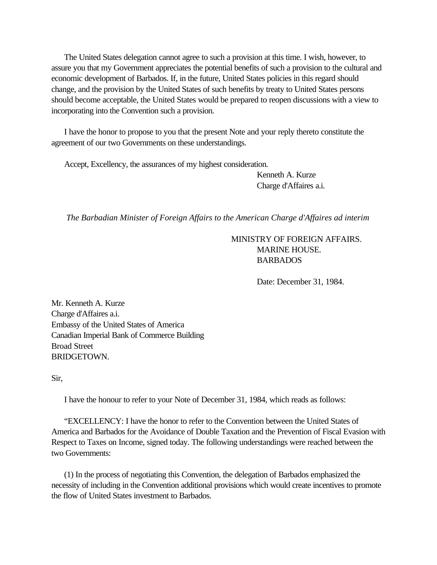The United States delegation cannot agree to such a provision at this time. I wish, however, to assure you that my Government appreciates the potential benefits of such a provision to the cultural and economic development of Barbados. If, in the future, United States policies in this regard should change, and the provision by the United States of such benefits by treaty to United States persons should become acceptable, the United States would be prepared to reopen discussions with a view to incorporating into the Convention such a provision.

 I have the honor to propose to you that the present Note and your reply thereto constitute the agreement of our two Governments on these understandings.

Accept, Excellency, the assurances of my highest consideration.

Kenneth A. Kurze Charge d'Affaires a.i.

*The Barbadian Minister of Foreign Affairs to the American Charge d'Affaires ad interim*

MINISTRY OF FOREIGN AFFAIRS. MARINE HOUSE. BARBADOS

Date: December 31, 1984.

Mr. Kenneth A. Kurze Charge d'Affaires a.i. Embassy of the United States of America Canadian Imperial Bank of Commerce Building Broad Street BRIDGETOWN.

Sir,

I have the honour to refer to your Note of December 31, 1984, which reads as follows:

 "EXCELLENCY: I have the honor to refer to the Convention between the United States of America and Barbados for the Avoidance of Double Taxation and the Prevention of Fiscal Evasion with Respect to Taxes on Income, signed today. The following understandings were reached between the two Governments:

 (1) In the process of negotiating this Convention, the delegation of Barbados emphasized the necessity of including in the Convention additional provisions which would create incentives to promote the flow of United States investment to Barbados.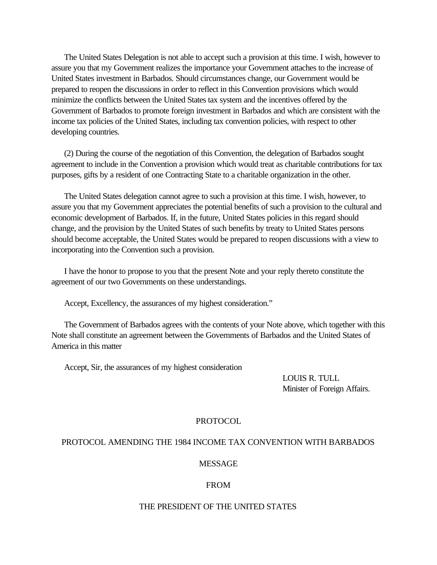The United States Delegation is not able to accept such a provision at this time. I wish, however to assure you that my Government realizes the importance your Government attaches to the increase of United States investment in Barbados. Should circumstances change, our Government would be prepared to reopen the discussions in order to reflect in this Convention provisions which would minimize the conflicts between the United States tax system and the incentives offered by the Government of Barbados to promote foreign investment in Barbados and which are consistent with the income tax policies of the United States, including tax convention policies, with respect to other developing countries.

 (2) During the course of the negotiation of this Convention, the delegation of Barbados sought agreement to include in the Convention a provision which would treat as charitable contributions for tax purposes, gifts by a resident of one Contracting State to a charitable organization in the other.

 The United States delegation cannot agree to such a provision at this time. I wish, however, to assure you that my Government appreciates the potential benefits of such a provision to the cultural and economic development of Barbados. If, in the future, United States policies in this regard should change, and the provision by the United States of such benefits by treaty to United States persons should become acceptable, the United States would be prepared to reopen discussions with a view to incorporating into the Convention such a provision.

 I have the honor to propose to you that the present Note and your reply thereto constitute the agreement of our two Governments on these understandings.

Accept, Excellency, the assurances of my highest consideration."

 The Government of Barbados agrees with the contents of your Note above, which together with this Note shall constitute an agreement between the Governments of Barbados and the United States of America in this matter

Accept, Sir, the assurances of my highest consideration

LOUIS R. TULL Minister of Foreign Affairs.

#### PROTOCOL

#### PROTOCOL AMENDING THE 1984 INCOME TAX CONVENTION WITH BARBADOS

#### MESSAGE

#### FROM

#### THE PRESIDENT OF THE UNITED STATES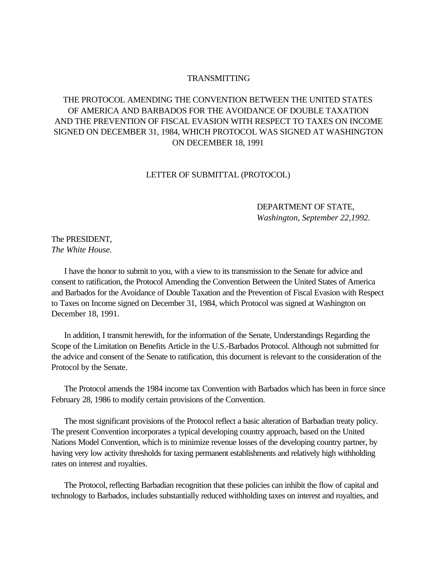### TRANSMITTING

# <span id="page-31-1"></span><span id="page-31-0"></span>THE PROTOCOL AMENDING THE CONVENTION BETWEEN THE UNITED STATES OF AMERICA AND BARBADOS FOR THE AVOIDANCE OF DOUBLE TAXATION AND THE PREVENTION OF FISCAL EVASION WITH RESPECT TO TAXES ON INCOME SIGNED ON DECEMBER 31, 1984, WHICH PROTOCOL WAS SIGNED AT WASHINGTON ON DECEMBER 18, 1991

#### LETTER OF SUBMITTAL (PROTOCOL)

### DEPARTMENT OF STATE, *Washington, September 22,1992.*

### The PRESIDENT, *The White House.*

 I have the honor to submit to you, with a view to its transmission to the Senate for advice and consent to ratification, the Protocol Amending the Convention Between the United States of America and Barbados for the Avoidance of Double Taxation and the Prevention of Fiscal Evasion with Respect to Taxes on Income signed on December 31, 1984, which Protocol was signed at Washington on December 18, 1991.

 In addition, I transmit herewith, for the information of the Senate, Understandings Regarding the Scope of the Limitation on Benefits Article in the U.S.-Barbados Protocol. Although not submitted for the advice and consent of the Senate to ratification, this document is relevant to the consideration of the Protocol by the Senate.

 The Protocol amends the 1984 income tax Convention with Barbados which has been in force since February 28, 1986 to modify certain provisions of the Convention.

 The most significant provisions of the Protocol reflect a basic alteration of Barbadian treaty policy. The present Convention incorporates a typical developing country approach, based on the United Nations Model Convention, which is to minimize revenue losses of the developing country partner, by having very low activity thresholds for taxing permanent establishments and relatively high withholding rates on interest and royalties.

 The Protocol, reflecting Barbadian recognition that these policies can inhibit the flow of capital and technology to Barbados, includes substantially reduced withholding taxes on interest and royalties, and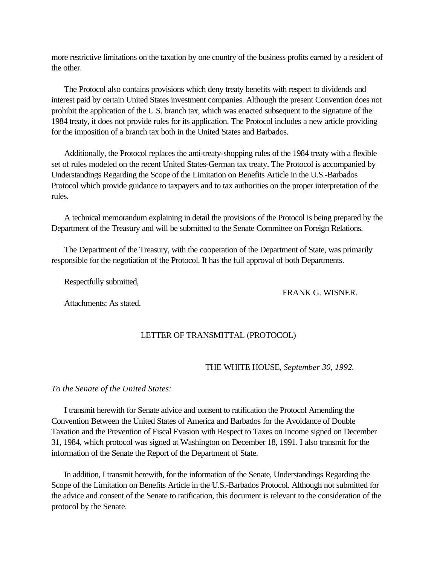more restrictive limitations on the taxation by one country of the business profits earned by a resident of the other.

 The Protocol also contains provisions which deny treaty benefits with respect to dividends and interest paid by certain United States investment companies. Although the present Convention does not prohibit the application of the U.S. branch tax, which was enacted subsequent to the signature of the 1984 treaty, it does not provide rules for its application. The Protocol includes a new article providing for the imposition of a branch tax both in the United States and Barbados.

 Additionally, the Protocol replaces the anti-treaty-shopping rules of the 1984 treaty with a flexible set of rules modeled on the recent United States-German tax treaty. The Protocol is accompanied by Understandings Regarding the Scope of the Limitation on Benefits Article in the U.S.-Barbados Protocol which provide guidance to taxpayers and to tax authorities on the proper interpretation of the rules.

 A technical memorandum explaining in detail the provisions of the Protocol is being prepared by the Department of the Treasury and will be submitted to the Senate Committee on Foreign Relations.

 The Department of the Treasury, with the cooperation of the Department of State, was primarily responsible for the negotiation of the Protocol. It has the full approval of both Departments.

Respectfully submitted,

FRANK G. WISNER.

Attachments: As stated.

### LETTER OF TRANSMITTAL (PROTOCOL)

#### THE WHITE HOUSE, *September 30, 1992.*

*To the Senate of the United States:*

 I transmit herewith for Senate advice and consent to ratification the Protocol Amending the Convention Between the United States of America and Barbados for the Avoidance of Double Taxation and the Prevention of Fiscal Evasion with Respect to Taxes on Income signed on December 31, 1984, which protocol was signed at Washington on December 18, 1991. I also transmit for the information of the Senate the Report of the Department of State.

 In addition, I transmit herewith, for the information of the Senate, Understandings Regarding the Scope of the Limitation on Benefits Article in the U.S.-Barbados Protocol. Although not submitted for the advice and consent of the Senate to ratification, this document is relevant to the consideration of the protocol by the Senate.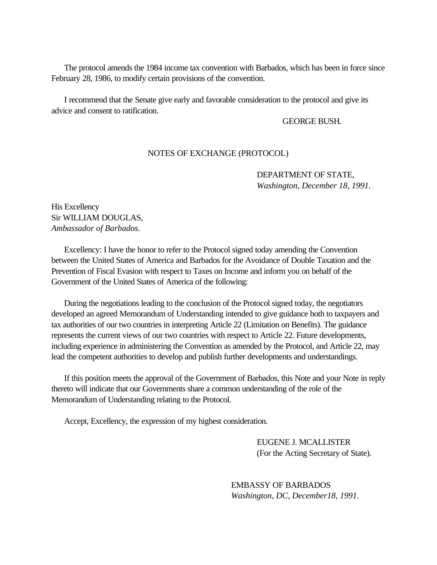The protocol amends the 1984 income tax convention with Barbados, which has been in force since February 28, 1986, to modify certain provisions of the convention.

<span id="page-33-0"></span> I recommend that the Senate give early and favorable consideration to the protocol and give its advice and consent to ratification.

#### GEORGE BUSH.

### NOTES OF EXCHANGE (PROTOCOL)

DEPARTMENT OF STATE, *Washington, December 18, 1991.*

His Excellency Sir WILLIAM DOUGLAS, *Ambassador of Barbados.*

 Excellency: I have the honor to refer to the Protocol signed today amending the Convention between the United States of America and Barbados for the Avoidance of Double Taxation and the Prevention of Fiscal Evasion with respect to Taxes on Income and inform you on behalf of the Government of the United States of America of the following:

 During the negotiations leading to the conclusion of the Protocol signed today, the negotiators developed an agreed Memorandum of Understanding intended to give guidance both to taxpayers and tax authorities of our two countries in interpreting Article 22 (Limitation on Benefits). The guidance represents the current views of our two countries with respect to Article 22. Future developments, including experience in administering the Convention as amended by the Protocol, and Article 22, may lead the competent authorities to develop and publish further developments and understandings.

 If this position meets the approval of the Government of Barbados, this Note and your Note in reply thereto will indicate that our Governments share a common understanding of the role of the Memorandum of Understanding relating to the Protocol.

Accept, Excellency, the expression of my highest consideration.

EUGENE J. MCALLISTER (For the Acting Secretary of State).

EMBASSY OF BARBADOS *Washington, DC, December18, 1991*.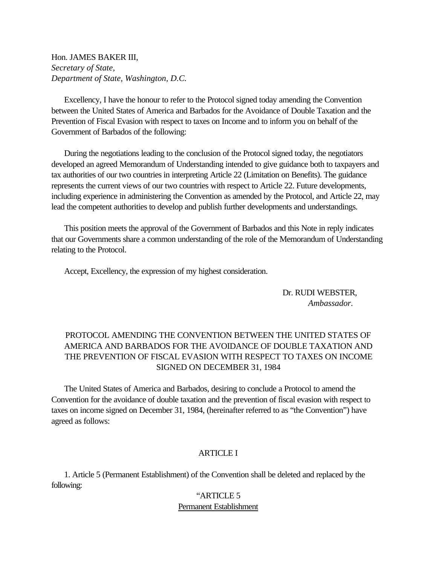Hon. JAMES BAKER III, *Secretary of State, Department of State, Washington, D.C.*

 Excellency, I have the honour to refer to the Protocol signed today amending the Convention between the United States of America and Barbados for the Avoidance of Double Taxation and the Prevention of Fiscal Evasion with respect to taxes on Income and to inform you on behalf of the Government of Barbados of the following:

 During the negotiations leading to the conclusion of the Protocol signed today, the negotiators developed an agreed Memorandum of Understanding intended to give guidance both to taxpayers and tax authorities of our two countries in interpreting Article 22 (Limitation on Benefits). The guidance represents the current views of our two countries with respect to Article 22. Future developments, including experience in administering the Convention as amended by the Protocol, and Article 22, may lead the competent authorities to develop and publish further developments and understandings.

 This position meets the approval of the Government of Barbados and this Note in reply indicates that our Governments share a common understanding of the role of the Memorandum of Understanding relating to the Protocol.

Accept, Excellency, the expression of my highest consideration.

Dr. RUDI WEBSTER, *Ambassador.*

# PROTOCOL AMENDING THE CONVENTION BETWEEN THE UNITED STATES OF AMERICA AND BARBADOS FOR THE AVOIDANCE OF DOUBLE TAXATION AND THE PREVENTION OF FISCAL EVASION WITH RESPECT TO TAXES ON INCOME SIGNED ON DECEMBER 31, 1984

 The United States of America and Barbados, desiring to conclude a Protocol to amend the Convention for the avoidance of double taxation and the prevention of fiscal evasion with respect to taxes on income signed on December 31, 1984, (hereinafter referred to as "the Convention") have agreed as follows:

### **ARTICLE I**

 1. Article 5 (Permanent Establishment) of the Convention shall be deleted and replaced by the following:

# "ARTICLE 5 Permanent Establishment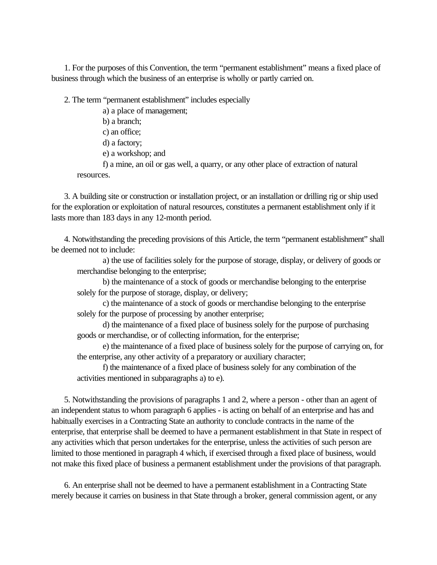1. For the purposes of this Convention, the term "permanent establishment" means a fixed place of business through which the business of an enterprise is wholly or partly carried on.

2. The term "permanent establishment" includes especially

a) a place of management;

b) a branch;

c) an office;

d) a factory;

e) a workshop; and

f) a mine, an oil or gas well, a quarry, or any other place of extraction of natural resources.

 3. A building site or construction or installation project, or an installation or drilling rig or ship used for the exploration or exploitation of natural resources, constitutes a permanent establishment only if it lasts more than 183 days in any 12-month period.

 4. Notwithstanding the preceding provisions of this Article, the term "permanent establishment" shall be deemed not to include:

a) the use of facilities solely for the purpose of storage, display, or delivery of goods or merchandise belonging to the enterprise;

b) the maintenance of a stock of goods or merchandise belonging to the enterprise solely for the purpose of storage, display, or delivery;

c) the maintenance of a stock of goods or merchandise belonging to the enterprise solely for the purpose of processing by another enterprise;

d) the maintenance of a fixed place of business solely for the purpose of purchasing goods or merchandise, or of collecting information, for the enterprise;

e) the maintenance of a fixed place of business solely for the purpose of carrying on, for the enterprise, any other activity of a preparatory or auxiliary character;

f) the maintenance of a fixed place of business solely for any combination of the activities mentioned in subparagraphs a) to e).

 5. Notwithstanding the provisions of paragraphs 1 and 2, where a person - other than an agent of an independent status to whom paragraph 6 applies - is acting on behalf of an enterprise and has and habitually exercises in a Contracting State an authority to conclude contracts in the name of the enterprise, that enterprise shall be deemed to have a permanent establishment in that State in respect of any activities which that person undertakes for the enterprise, unless the activities of such person are limited to those mentioned in paragraph 4 which, if exercised through a fixed place of business, would not make this fixed place of business a permanent establishment under the provisions of that paragraph.

 6. An enterprise shall not be deemed to have a permanent establishment in a Contracting State merely because it carries on business in that State through a broker, general commission agent, or any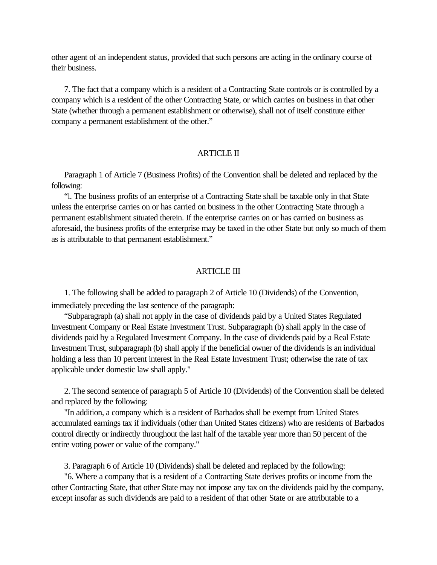other agent of an independent status, provided that such persons are acting in the ordinary course of their business.

 7. The fact that a company which is a resident of a Contracting State controls or is controlled by a company which is a resident of the other Contracting State, or which carries on business in that other State (whether through a permanent establishment or otherwise), shall not of itself constitute either company a permanent establishment of the other."

#### ARTICLE II

 Paragraph 1 of Article 7 (Business Profits) of the Convention shall be deleted and replaced by the following:

 "l. The business profits of an enterprise of a Contracting State shall be taxable only in that State unless the enterprise carries on or has carried on business in the other Contracting State through a permanent establishment situated therein. If the enterprise carries on or has carried on business as aforesaid, the business profits of the enterprise may be taxed in the other State but only so much of them as is attributable to that permanent establishment."

#### ARTICLE III

 1. The following shall be added to paragraph 2 of Article 10 (Dividends) of the Convention, immediately preceding the last sentence of the paragraph:

 "Subparagraph (a) shall not apply in the case of dividends paid by a United States Regulated Investment Company or Real Estate Investment Trust. Subparagraph (b) shall apply in the case of dividends paid by a Regulated Investment Company. In the case of dividends paid by a Real Estate Investment Trust, subparagraph (b) shall apply if the beneficial owner of the dividends is an individual holding a less than 10 percent interest in the Real Estate Investment Trust; otherwise the rate of tax applicable under domestic law shall apply."

 2. The second sentence of paragraph 5 of Article 10 (Dividends) of the Convention shall be deleted and replaced by the following:

 "In addition, a company which is a resident of Barbados shall be exempt from United States accumulated earnings tax if individuals (other than United States citizens) who are residents of Barbados control directly or indirectly throughout the last half of the taxable year more than 50 percent of the entire voting power or value of the company."

3. Paragraph 6 of Article 10 (Dividends) shall be deleted and replaced by the following:

 "6. Where a company that is a resident of a Contracting State derives profits or income from the other Contracting State, that other State may not impose any tax on the dividends paid by the company, except insofar as such dividends are paid to a resident of that other State or are attributable to a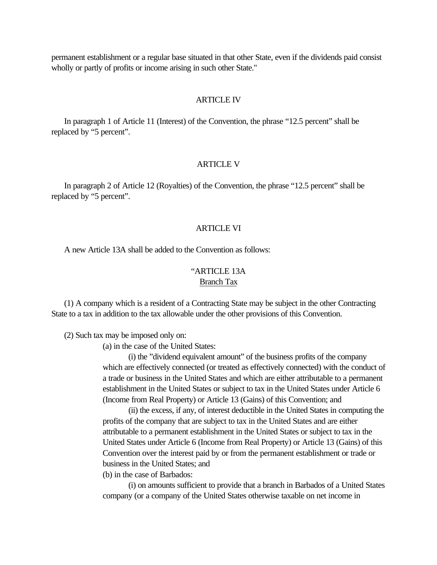permanent establishment or a regular base situated in that other State, even if the dividends paid consist wholly or partly of profits or income arising in such other State."

#### **ARTICLE IV**

 In paragraph 1 of Article 11 (Interest) of the Convention, the phrase "12.5 percent" shall be replaced by "5 percent".

#### ARTICLE V

 In paragraph 2 of Article 12 (Royalties) of the Convention, the phrase "12.5 percent" shall be replaced by "5 percent".

#### ARTICLE VI

A new Article 13A shall be added to the Convention as follows:

# "ARTICLE 13A

### Branch Tax

 (1) A company which is a resident of a Contracting State may be subject in the other Contracting State to a tax in addition to the tax allowable under the other provisions of this Convention.

(2) Such tax may be imposed only on:

(a) in the case of the United States:

(i) the "dividend equivalent amount" of the business profits of the company which are effectively connected (or treated as effectively connected) with the conduct of a trade or business in the United States and which are either attributable to a permanent establishment in the United States or subject to tax in the United States under Article 6 (Income from Real Property) or Article 13 (Gains) of this Convention; and

(ii) the excess, if any, of interest deductible in the United States in computing the profits of the company that are subject to tax in the United States and are either attributable to a permanent establishment in the United States or subject to tax in the United States under Article 6 (Income from Real Property) or Article 13 (Gains) of this Convention over the interest paid by or from the permanent establishment or trade or business in the United States; and

(b) in the case of Barbados:

(i) on amounts sufficient to provide that a branch in Barbados of a United States company (or a company of the United States otherwise taxable on net income in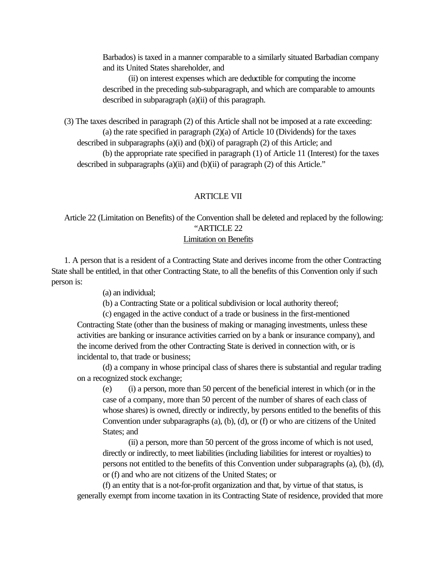Barbados) is taxed in a manner comparable to a similarly situated Barbadian company and its United States shareholder, and

(ii) on interest expenses which are deductible for computing the income described in the preceding sub-subparagraph, and which are comparable to amounts described in subparagraph (a)(ii) of this paragraph.

 (3) The taxes described in paragraph (2) of this Article shall not be imposed at a rate exceeding: (a) the rate specified in paragraph (2)(a) of Article 10 (Dividends) for the taxes described in subparagraphs (a)(i) and (b)(i) of paragraph (2) of this Article; and (b) the appropriate rate specified in paragraph (1) of Article 11 (Interest) for the taxes described in subparagraphs (a)(ii) and (b)(ii) of paragraph (2) of this Article."

#### ARTICLE VII

 Article 22 (Limitation on Benefits) of the Convention shall be deleted and replaced by the following: "ARTICLE 22

# Limitation on Benefits

 1. A person that is a resident of a Contracting State and derives income from the other Contracting State shall be entitled, in that other Contracting State, to all the benefits of this Convention only if such person is:

(a) an individual;

(b) a Contracting State or a political subdivision or local authority thereof;

(c) engaged in the active conduct of a trade or business in the first-mentioned Contracting State (other than the business of making or managing investments, unless these activities are banking or insurance activities carried on by a bank or insurance company), and the income derived from the other Contracting State is derived in connection with, or is incidental to, that trade or business;

(d) a company in whose principal class of shares there is substantial and regular trading on a recognized stock exchange;

(e) (i) a person, more than 50 percent of the beneficial interest in which (or in the case of a company, more than 50 percent of the number of shares of each class of whose shares) is owned, directly or indirectly, by persons entitled to the benefits of this Convention under subparagraphs (a), (b), (d), or (f) or who are citizens of the United States; and

(ii) a person, more than 50 percent of the gross income of which is not used, directly or indirectly, to meet liabilities (including liabilities for interest or royalties) to persons not entitled to the benefits of this Convention under subparagraphs (a), (b), (d), or (f) and who are not citizens of the United States; or

(f) an entity that is a not-for-profit organization and that, by virtue of that status, is generally exempt from income taxation in its Contracting State of residence, provided that more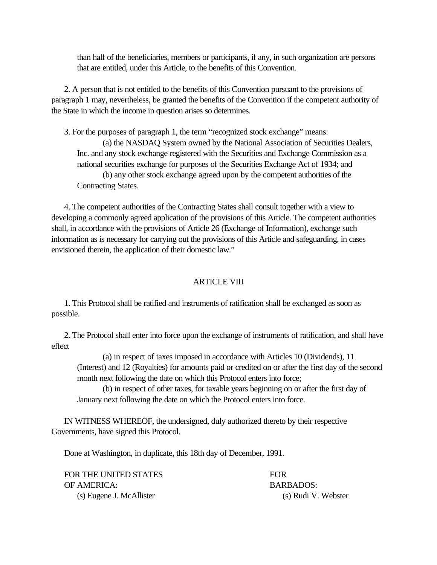than half of the beneficiaries, members or participants, if any, in such organization are persons that are entitled, under this Article, to the benefits of this Convention.

 2. A person that is not entitled to the benefits of this Convention pursuant to the provisions of paragraph 1 may, nevertheless, be granted the benefits of the Convention if the competent authority of the State in which the income in question arises so determines.

 3. For the purposes of paragraph 1, the term "recognized stock exchange" means: (a) the NASDAQ System owned by the National Association of Securities Dealers, Inc. and any stock exchange registered with the Securities and Exchange Commission as a national securities exchange for purposes of the Securities Exchange Act of 1934; and (b) any other stock exchange agreed upon by the competent authorities of the Contracting States.

 4. The competent authorities of the Contracting States shall consult together with a view to developing a commonly agreed application of the provisions of this Article. The competent authorities shall, in accordance with the provisions of Article 26 (Exchange of Information), exchange such information as is necessary for carrying out the provisions of this Article and safeguarding, in cases envisioned therein, the application of their domestic law."

#### ARTICLE VIII

 1. This Protocol shall be ratified and instruments of ratification shall be exchanged as soon as possible.

 2. The Protocol shall enter into force upon the exchange of instruments of ratification, and shall have effect

(a) in respect of taxes imposed in accordance with Articles 10 (Dividends), 11 (Interest) and 12 (Royalties) for amounts paid or credited on or after the first day of the second month next following the date on which this Protocol enters into force;

(b) in respect of other taxes, for taxable years beginning on or after the first day of January next following the date on which the Protocol enters into force.

 IN WITNESS WHEREOF, the undersigned, duly authorized thereto by their respective Governments, have signed this Protocol.

Done at Washington, in duplicate, this 18th day of December, 1991.

| FOR THE UNITED STATES    | <b>FOR</b>          |
|--------------------------|---------------------|
| OF AMERICA:              | <b>BARBADOS:</b>    |
| (s) Eugene J. McAllister | (s) Rudi V. Webster |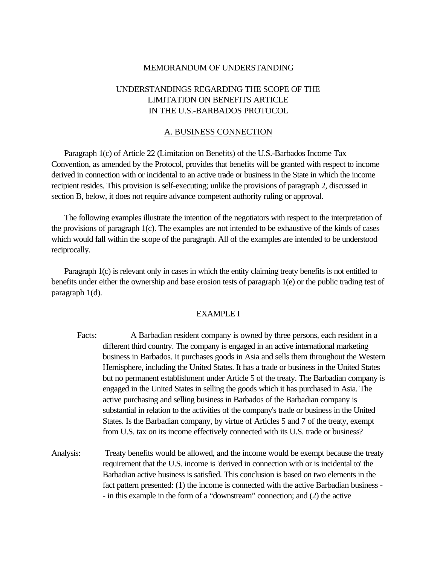#### MEMORANDUM OF UNDERSTANDING

# UNDERSTANDINGS REGARDING THE SCOPE OF THE LIMITATION ON BENEFITS ARTICLE IN THE U.S.-BARBADOS PROTOCOL

#### A. BUSINESS CONNECTION

<span id="page-40-0"></span> Paragraph 1(c) of Article 22 (Limitation on Benefits) of the U.S.-Barbados Income Tax Convention, as amended by the Protocol, provides that benefits will be granted with respect to income derived in connection with or incidental to an active trade or business in the State in which the income recipient resides. This provision is self-executing; unlike the provisions of paragraph 2, discussed in section B, below, it does not require advance competent authority ruling or approval.

 The following examples illustrate the intention of the negotiators with respect to the interpretation of the provisions of paragraph 1(c). The examples are not intended to be exhaustive of the kinds of cases which would fall within the scope of the paragraph. All of the examples are intended to be understood reciprocally.

 Paragraph 1(c) is relevant only in cases in which the entity claiming treaty benefits is not entitled to benefits under either the ownership and base erosion tests of paragraph 1(e) or the public trading test of paragraph 1(d).

#### EXAMPLE I

- Facts: A Barbadian resident company is owned by three persons, each resident in a different third country. The company is engaged in an active international marketing business in Barbados. It purchases goods in Asia and sells them throughout the Western Hemisphere, including the United States. It has a trade or business in the United States but no permanent establishment under Article 5 of the treaty. The Barbadian company is engaged in the United States in selling the goods which it has purchased in Asia. The active purchasing and selling business in Barbados of the Barbadian company is substantial in relation to the activities of the company's trade or business in the United States. Is the Barbadian company, by virtue of Articles 5 and 7 of the treaty, exempt from U.S. tax on its income effectively connected with its U.S. trade or business?
- Analysis: Treaty benefits would be allowed, and the income would be exempt because the treaty requirement that the U.S. income is 'derived in connection with or is incidental to' the Barbadian active business is satisfied. This conclusion is based on two elements in the fact pattern presented: (1) the income is connected with the active Barbadian business - - in this example in the form of a "downstream" connection; and (2) the active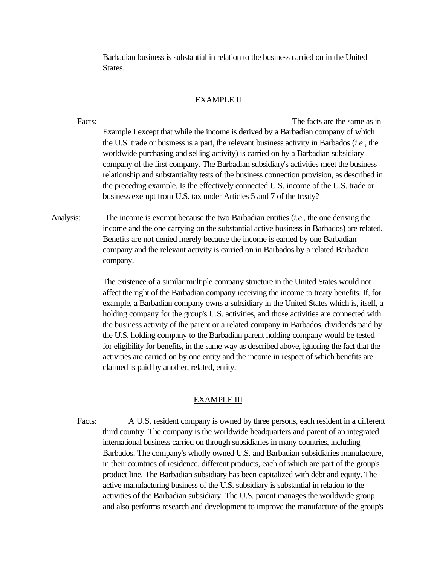Barbadian business is substantial in relation to the business carried on in the United States.

#### EXAMPLE II

Facts: The facts are the same as in Example I except that while the income is derived by a Barbadian company of which the U.S. trade or business is a part, the relevant business activity in Barbados (*i.e*., the worldwide purchasing and selling activity) is carried on by a Barbadian subsidiary company of the first company. The Barbadian subsidiary's activities meet the business relationship and substantiality tests of the business connection provision, as described in the preceding example. Is the effectively connected U.S. income of the U.S. trade or business exempt from U.S. tax under Articles 5 and 7 of the treaty?

Analysis: The income is exempt because the two Barbadian entities (*i.e*., the one deriving the income and the one carrying on the substantial active business in Barbados) are related. Benefits are not denied merely because the income is earned by one Barbadian company and the relevant activity is carried on in Barbados by a related Barbadian company.

> The existence of a similar multiple company structure in the United States would not affect the right of the Barbadian company receiving the income to treaty benefits. If, for example, a Barbadian company owns a subsidiary in the United States which is, itself, a holding company for the group's U.S. activities, and those activities are connected with the business activity of the parent or a related company in Barbados, dividends paid by the U.S. holding company to the Barbadian parent holding company would be tested for eligibility for benefits, in the same way as described above, ignoring the fact that the activities are carried on by one entity and the income in respect of which benefits are claimed is paid by another, related, entity.

#### EXAMPLE III

Facts: A U.S. resident company is owned by three persons, each resident in a different third country. The company is the worldwide headquarters and parent of an integrated international business carried on through subsidiaries in many countries, including Barbados. The company's wholly owned U.S. and Barbadian subsidiaries manufacture, in their countries of residence, different products, each of which are part of the group's product line. The Barbadian subsidiary has been capitalized with debt and equity. The active manufacturing business of the U.S. subsidiary is substantial in relation to the activities of the Barbadian subsidiary. The U.S. parent manages the worldwide group and also performs research and development to improve the manufacture of the group's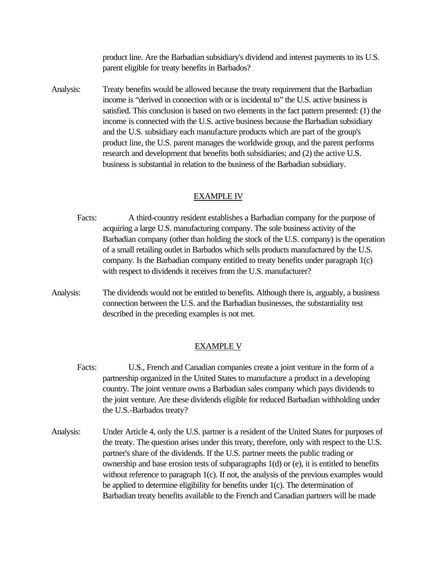product line. Are the Barbadian subsidiary's dividend and interest payments to its U.S. parent eligible for treaty benefits in Barbados?

Analysis: Treaty benefits would be allowed because the treaty requirement that the Barbadian income is "derived in connection with or is incidental to" the U.S. active business is satisfied. This conclusion is based on two elements in the fact pattern presented: (1) the income is connected with the U.S. active business because the Barbadian subsidiary and the U.S. subsidiary each manufacture products which are part of the group's product line, the U.S. parent manages the worldwide group, and the parent performs research and development that benefits both subsidiaries; and (2) the active U.S. business is substantial in relation to the business of the Barbadian subsidiary.

#### EXAMPLE IV

- Facts: A third-country resident establishes a Barbadian company for the purpose of acquiring a large U.S. manufacturing company. The sole business activity of the Barbadian company (other than holding the stock of the U.S. company) is the operation of a small retailing outlet in Barbados which sells products manufactured by the U.S. company. Is the Barbadian company entitled to treaty benefits under paragraph 1(c) with respect to dividends it receives from the U.S. manufacturer?
- Analysis: The dividends would not be entitled to benefits. Although there is, arguably, a business connection between the U.S. and the Barbadian businesses, the substantiality test described in the preceding examples is not met.

#### EXAMPLE V

- Facts: U.S., French and Canadian companies create a joint venture in the form of a partnership organized in the United States to manufacture a product in a developing country. The joint venture owns a Barbadian sales company which pays dividends to the joint venture. Are these dividends eligible for reduced Barbadian withholding under the U.S.-Barbados treaty?
- Analysis: Under Article 4, only the U.S. partner is a resident of the United States for purposes of the treaty. The question arises under this treaty, therefore, only with respect to the U.S. partner's share of the dividends. If the U.S. partner meets the public trading or ownership and base erosion tests of subparagraphs 1(d) or (e), it is entitled to benefits without reference to paragraph 1(c). If not, the analysis of the previous examples would be applied to determine eligibility for benefits under 1(c). The determination of Barbadian treaty benefits available to the French and Canadian partners will be made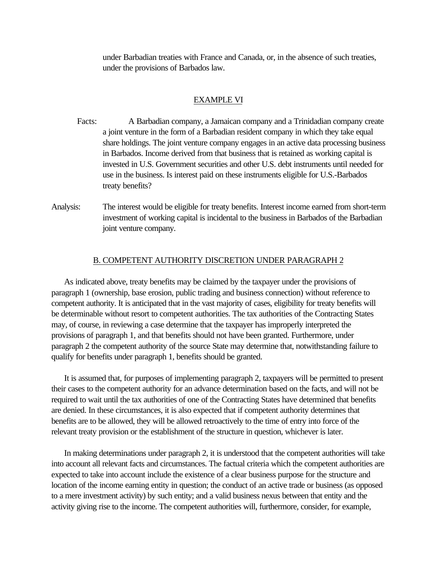under Barbadian treaties with France and Canada, or, in the absence of such treaties, under the provisions of Barbados law.

#### EXAMPLE VI

- Facts: A Barbadian company, a Jamaican company and a Trinidadian company create a joint venture in the form of a Barbadian resident company in which they take equal share holdings. The joint venture company engages in an active data processing business in Barbados. Income derived from that business that is retained as working capital is invested in U.S. Government securities and other U.S. debt instruments until needed for use in the business. Is interest paid on these instruments eligible for U.S.-Barbados treaty benefits?
- Analysis: The interest would be eligible for treaty benefits. Interest income earned from short-term investment of working capital is incidental to the business in Barbados of the Barbadian joint venture company.

#### B. COMPETENT AUTHORITY DISCRETION UNDER PARAGRAPH 2

 As indicated above, treaty benefits may be claimed by the taxpayer under the provisions of paragraph 1 (ownership, base erosion, public trading and business connection) without reference to competent authority. It is anticipated that in the vast majority of cases, eligibility for treaty benefits will be determinable without resort to competent authorities. The tax authorities of the Contracting States may, of course, in reviewing a case determine that the taxpayer has improperly interpreted the provisions of paragraph 1, and that benefits should not have been granted. Furthermore, under paragraph 2 the competent authority of the source State may determine that, notwithstanding failure to qualify for benefits under paragraph 1, benefits should be granted.

 It is assumed that, for purposes of implementing paragraph 2, taxpayers will be permitted to present their cases to the competent authority for an advance determination based on the facts, and will not be required to wait until the tax authorities of one of the Contracting States have determined that benefits are denied. In these circumstances, it is also expected that if competent authority determines that benefits are to be allowed, they will be allowed retroactively to the time of entry into force of the relevant treaty provision or the establishment of the structure in question, whichever is later.

 In making determinations under paragraph 2, it is understood that the competent authorities will take into account all relevant facts and circumstances. The factual criteria which the competent authorities are expected to take into account include the existence of a clear business purpose for the structure and location of the income earning entity in question; the conduct of an active trade or business (as opposed to a mere investment activity) by such entity; and a valid business nexus between that entity and the activity giving rise to the income. The competent authorities will, furthermore, consider, for example,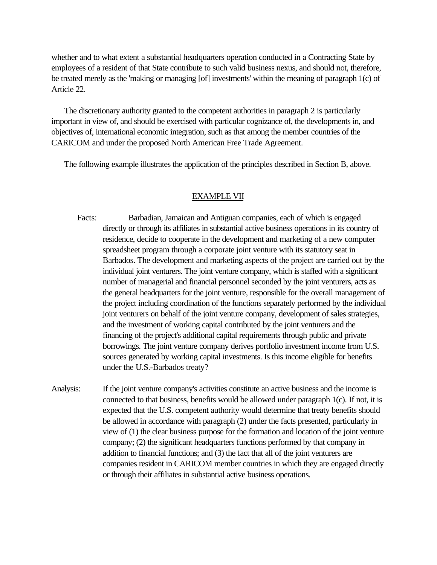whether and to what extent a substantial headquarters operation conducted in a Contracting State by employees of a resident of that State contribute to such valid business nexus, and should not, therefore, be treated merely as the 'making or managing [of] investments' within the meaning of paragraph 1(c) of Article 22.

 The discretionary authority granted to the competent authorities in paragraph 2 is particularly important in view of, and should be exercised with particular cognizance of, the developments in, and objectives of, international economic integration, such as that among the member countries of the CARICOM and under the proposed North American Free Trade Agreement.

The following example illustrates the application of the principles described in Section B, above.

#### EXAMPLE VII

- Facts: Barbadian, Jamaican and Antiguan companies, each of which is engaged directly or through its affiliates in substantial active business operations in its country of residence, decide to cooperate in the development and marketing of a new computer spreadsheet program through a corporate joint venture with its statutory seat in Barbados. The development and marketing aspects of the project are carried out by the individual joint venturers. The joint venture company, which is staffed with a significant number of managerial and financial personnel seconded by the joint venturers, acts as the general headquarters for the joint venture, responsible for the overall management of the project including coordination of the functions separately performed by the individual joint venturers on behalf of the joint venture company, development of sales strategies, and the investment of working capital contributed by the joint venturers and the financing of the project's additional capital requirements through public and private borrowings. The joint venture company derives portfolio investment income from U.S. sources generated by working capital investments. Is this income eligible for benefits under the U.S.-Barbados treaty?
- Analysis: If the joint venture company's activities constitute an active business and the income is connected to that business, benefits would be allowed under paragraph 1(c). If not, it is expected that the U.S. competent authority would determine that treaty benefits should be allowed in accordance with paragraph (2) under the facts presented, particularly in view of (1) the clear business purpose for the formation and location of the joint venture company; (2) the significant headquarters functions performed by that company in addition to financial functions; and (3) the fact that all of the joint venturers are companies resident in CARICOM member countries in which they are engaged directly or through their affiliates in substantial active business operations.